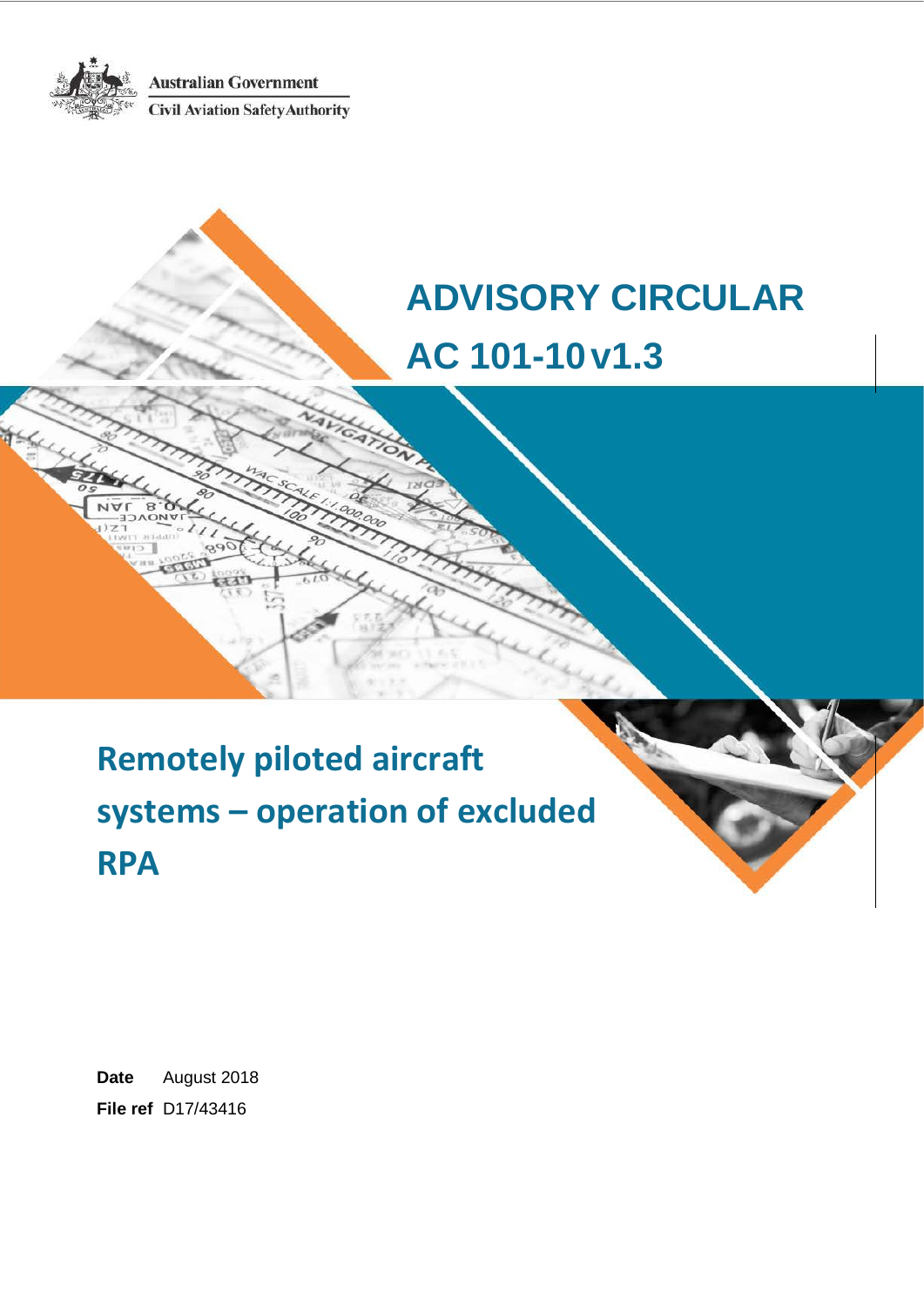**Australian Government Civil Aviation Safety Authority** 



**ADVISORY CIRCULAR AC 101-10v1.3**

# **Remotely piloted aircraft systems – operation of excluded RPA**

**Date** August 2018 **File ref** D17/43416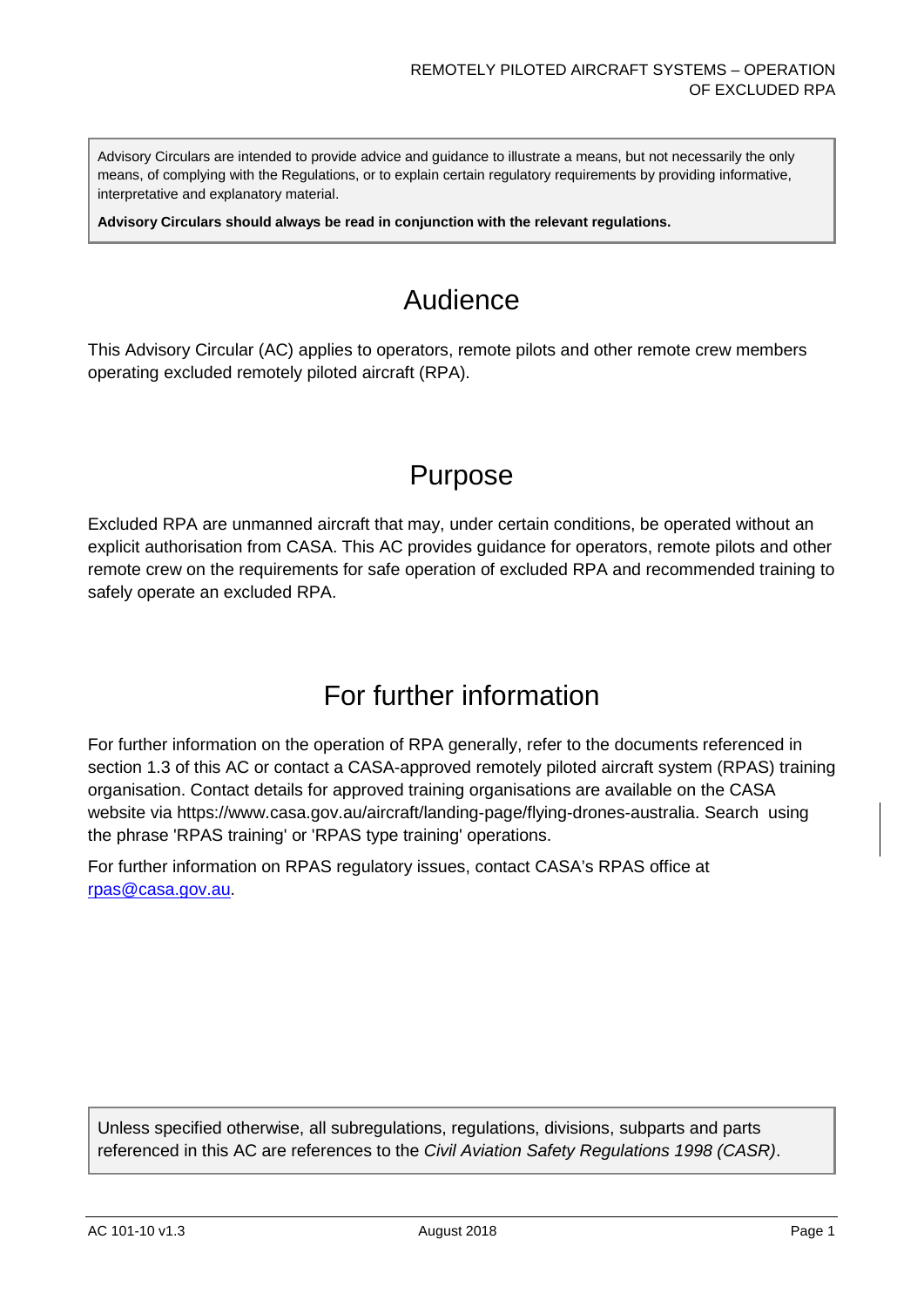Advisory Circulars are intended to provide advice and guidance to illustrate a means, but not necessarily the only means, of complying with the Regulations, or to explain certain regulatory requirements by providing informative, interpretative and explanatory material.

**Advisory Circulars should always be read in conjunction with the relevant regulations.**

# Audience

This Advisory Circular (AC) applies to operators, remote pilots and other remote crew members operating excluded remotely piloted aircraft (RPA).

# Purpose

Excluded RPA are unmanned aircraft that may, under certain conditions, be operated without an explicit authorisation from CASA. This AC provides guidance for operators, remote pilots and other remote crew on the requirements for safe operation of excluded RPA and recommended training to safely operate an excluded RPA.

# For further information

For further information on the operation of RPA generally, refer to the documents referenced in section [1.3](#page-5-0) of this AC or contact a CASA-approved remotely piloted aircraft system (RPAS) training organisation. Contact details for approved training organisations are available on the CASA website via https://www.casa.gov.au/aircraft/landing-page/flying-drones-australia. Search using the phrase 'RPAS training' or 'RPAS type training' operations.

For further information on RPAS regulatory issues, contact CASA's RPAS office at [rpas@casa.gov.au.](mailto:uas@casa.gov.au)

Unless specified otherwise, all subregulations, regulations, divisions, subparts and parts referenced in this AC are references to the *Civil Aviation Safety Regulations 1998 (CASR)*.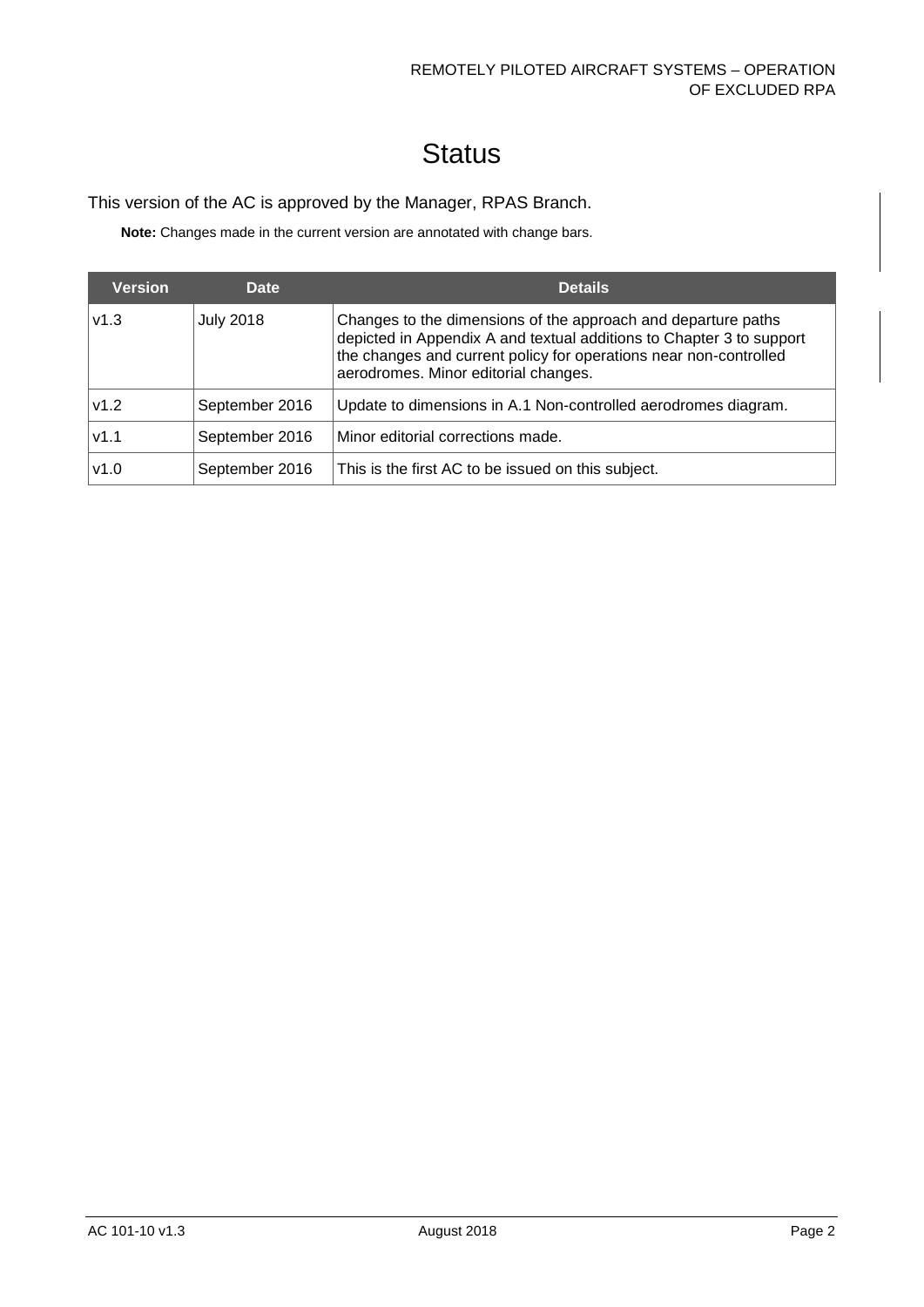# **Status**

#### This version of the AC is approved by the Manager, RPAS Branch.

**Note:** Changes made in the current version are annotated with change bars.

| <b>Version</b> | Date             | <b>Details</b>                                                                                                                                                                                                                                     |
|----------------|------------------|----------------------------------------------------------------------------------------------------------------------------------------------------------------------------------------------------------------------------------------------------|
| v1.3           | <b>July 2018</b> | Changes to the dimensions of the approach and departure paths<br>depicted in Appendix A and textual additions to Chapter 3 to support<br>the changes and current policy for operations near non-controlled<br>aerodromes. Minor editorial changes. |
| v1.2           | September 2016   | Update to dimensions in A.1 Non-controlled aerodromes diagram.                                                                                                                                                                                     |
| V1.1           | September 2016   | Minor editorial corrections made.                                                                                                                                                                                                                  |
| v1.0           | September 2016   | This is the first AC to be issued on this subject.                                                                                                                                                                                                 |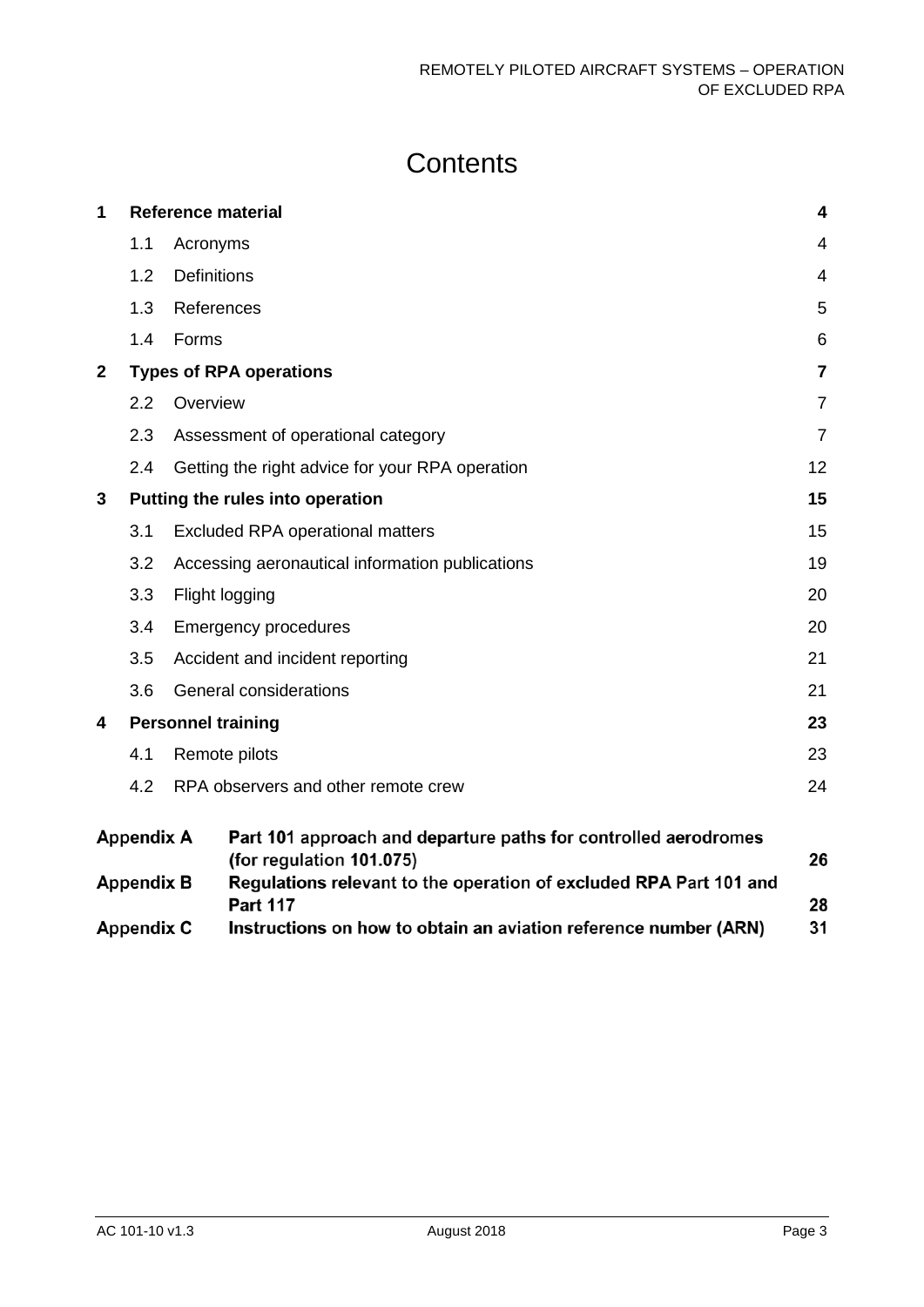# **Contents**

| 1                       |                                  |                    | <b>Reference material</b>                                                                   | 4              |
|-------------------------|----------------------------------|--------------------|---------------------------------------------------------------------------------------------|----------------|
|                         | 1.1                              | Acronyms           |                                                                                             | 4              |
|                         | 1.2                              | <b>Definitions</b> |                                                                                             | 4              |
|                         | 1.3                              |                    | References                                                                                  | 5              |
|                         | 1.4                              | Forms              |                                                                                             | 6              |
| $\overline{\mathbf{2}}$ |                                  |                    | <b>Types of RPA operations</b>                                                              | $\overline{7}$ |
|                         | 2.2                              | Overview           |                                                                                             | $\overline{7}$ |
|                         | 2.3                              |                    | Assessment of operational category                                                          | $\overline{7}$ |
|                         | 2.4                              |                    | Getting the right advice for your RPA operation                                             | 12             |
| 3                       | Putting the rules into operation |                    |                                                                                             | 15             |
|                         | 3.1                              |                    | <b>Excluded RPA operational matters</b>                                                     | 15             |
|                         | 3.2                              |                    | Accessing aeronautical information publications                                             | 19             |
|                         | 3.3                              |                    | Flight logging                                                                              | 20             |
|                         | 3.4                              |                    | <b>Emergency procedures</b>                                                                 | 20             |
|                         | 3.5                              |                    | Accident and incident reporting                                                             | 21             |
|                         | 3.6                              |                    | General considerations                                                                      | 21             |
| 4                       |                                  |                    | <b>Personnel training</b>                                                                   | 23             |
|                         | 4.1                              |                    | Remote pilots                                                                               | 23             |
|                         | 4.2                              |                    | RPA observers and other remote crew                                                         | 24             |
|                         | <b>Appendix A</b>                |                    | Part 101 approach and departure paths for controlled aerodromes<br>(for regulation 101.075) | 26             |
|                         | <b>Appendix B</b>                |                    | Regulations relevant to the operation of excluded RPA Part 101 and<br><b>Part 117</b>       | 28             |
|                         | <b>Appendix C</b>                |                    | Instructions on how to obtain an aviation reference number (ARN)                            | 31             |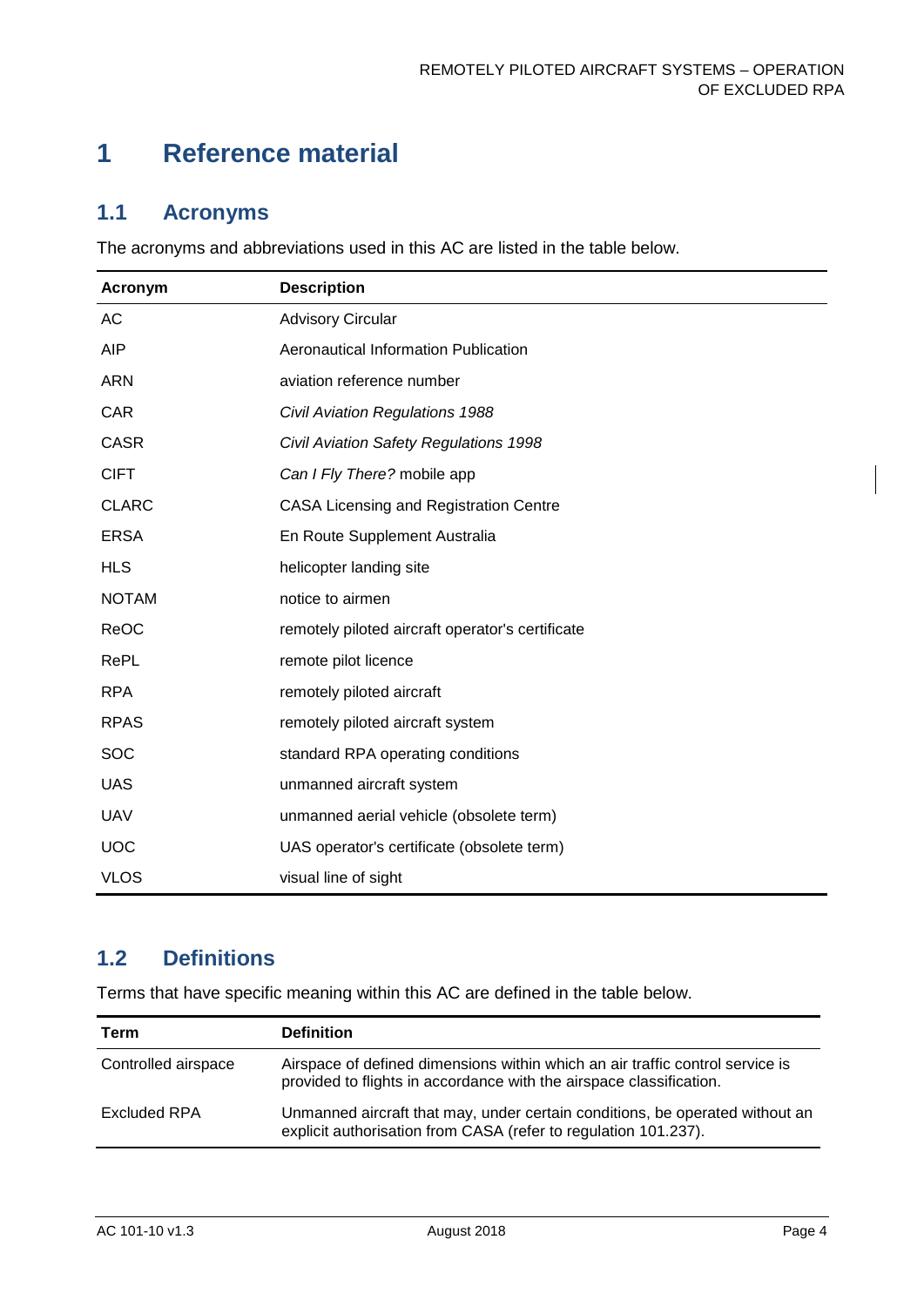# <span id="page-4-0"></span>**1 Reference material**

## <span id="page-4-1"></span>**1.1 Acronyms**

The acronyms and abbreviations used in this AC are listed in the table below.

| Acronym      | <b>Description</b>                               |
|--------------|--------------------------------------------------|
| AC           | <b>Advisory Circular</b>                         |
| AIP          | Aeronautical Information Publication             |
| <b>ARN</b>   | aviation reference number                        |
| <b>CAR</b>   | Civil Aviation Regulations 1988                  |
| <b>CASR</b>  | Civil Aviation Safety Regulations 1998           |
| <b>CIFT</b>  | Can I Fly There? mobile app                      |
| <b>CLARC</b> | <b>CASA Licensing and Registration Centre</b>    |
| <b>ERSA</b>  | En Route Supplement Australia                    |
| <b>HLS</b>   | helicopter landing site                          |
| <b>NOTAM</b> | notice to airmen                                 |
| ReOC         | remotely piloted aircraft operator's certificate |
| RePL         | remote pilot licence                             |
| <b>RPA</b>   | remotely piloted aircraft                        |
| <b>RPAS</b>  | remotely piloted aircraft system                 |
| SOC          | standard RPA operating conditions                |
| <b>UAS</b>   | unmanned aircraft system                         |
| <b>UAV</b>   | unmanned aerial vehicle (obsolete term)          |
| <b>UOC</b>   | UAS operator's certificate (obsolete term)       |
| <b>VLOS</b>  | visual line of sight                             |

# <span id="page-4-2"></span>**1.2 Definitions**

Terms that have specific meaning within this AC are defined in the table below.

| Term                | <b>Definition</b>                                                                                                                                    |
|---------------------|------------------------------------------------------------------------------------------------------------------------------------------------------|
| Controlled airspace | Airspace of defined dimensions within which an air traffic control service is<br>provided to flights in accordance with the airspace classification. |
| Excluded RPA        | Unmanned aircraft that may, under certain conditions, be operated without an<br>explicit authorisation from CASA (refer to regulation 101.237).      |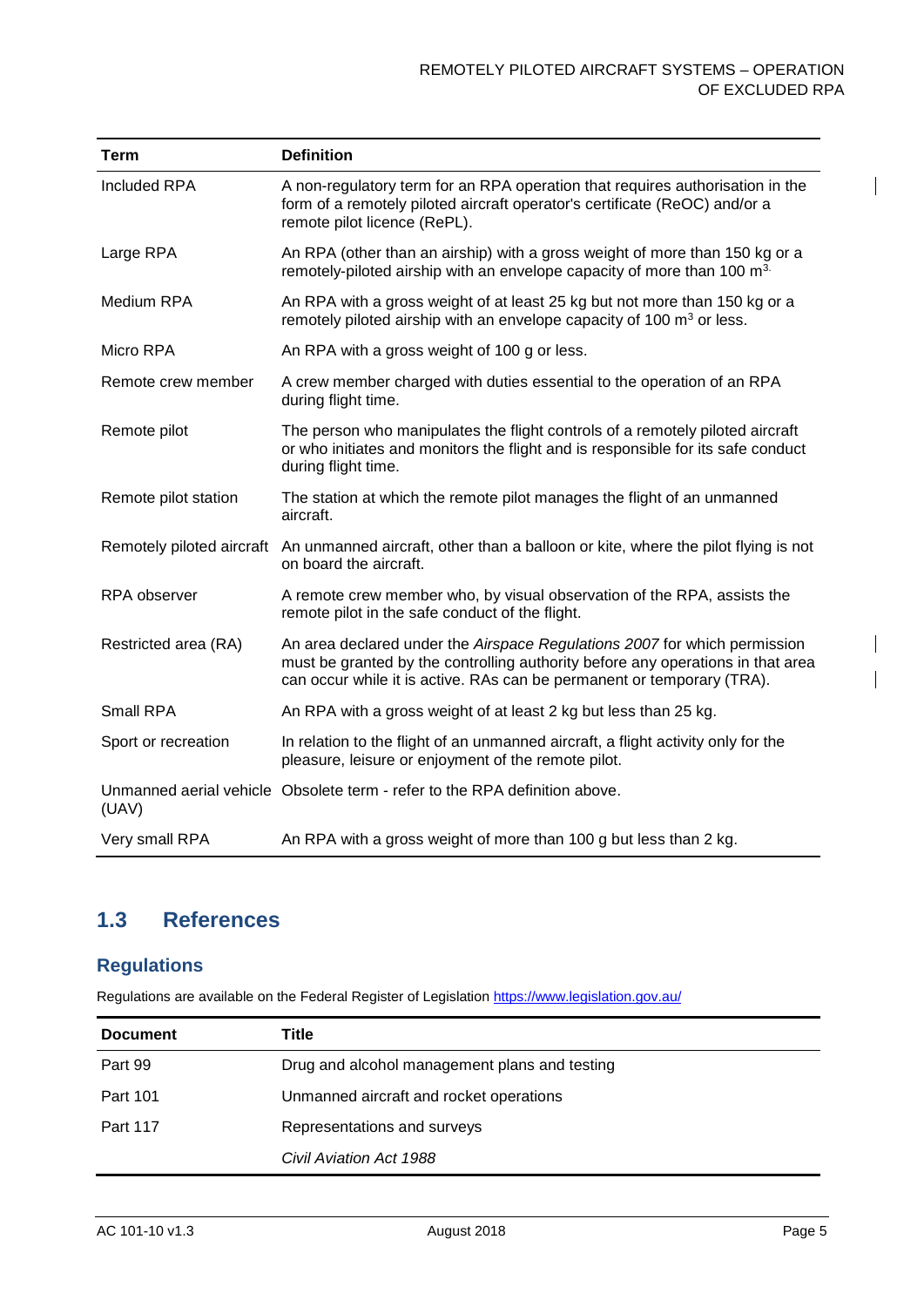| <b>Term</b>          | <b>Definition</b>                                                                                                                                                                                                                      |
|----------------------|----------------------------------------------------------------------------------------------------------------------------------------------------------------------------------------------------------------------------------------|
| <b>Included RPA</b>  | A non-regulatory term for an RPA operation that requires authorisation in the<br>form of a remotely piloted aircraft operator's certificate (ReOC) and/or a<br>remote pilot licence (RePL).                                            |
| Large RPA            | An RPA (other than an airship) with a gross weight of more than 150 kg or a<br>remotely-piloted airship with an envelope capacity of more than 100 m <sup>3.</sup>                                                                     |
| Medium RPA           | An RPA with a gross weight of at least 25 kg but not more than 150 kg or a<br>remotely piloted airship with an envelope capacity of 100 m <sup>3</sup> or less.                                                                        |
| Micro RPA            | An RPA with a gross weight of 100 g or less.                                                                                                                                                                                           |
| Remote crew member   | A crew member charged with duties essential to the operation of an RPA<br>during flight time.                                                                                                                                          |
| Remote pilot         | The person who manipulates the flight controls of a remotely piloted aircraft<br>or who initiates and monitors the flight and is responsible for its safe conduct<br>during flight time.                                               |
| Remote pilot station | The station at which the remote pilot manages the flight of an unmanned<br>aircraft.                                                                                                                                                   |
|                      | Remotely piloted aircraft An unmanned aircraft, other than a balloon or kite, where the pilot flying is not<br>on board the aircraft.                                                                                                  |
| RPA observer         | A remote crew member who, by visual observation of the RPA, assists the<br>remote pilot in the safe conduct of the flight.                                                                                                             |
| Restricted area (RA) | An area declared under the Airspace Regulations 2007 for which permission<br>must be granted by the controlling authority before any operations in that area<br>can occur while it is active. RAs can be permanent or temporary (TRA). |
| Small RPA            | An RPA with a gross weight of at least 2 kg but less than 25 kg.                                                                                                                                                                       |
| Sport or recreation  | In relation to the flight of an unmanned aircraft, a flight activity only for the<br>pleasure, leisure or enjoyment of the remote pilot.                                                                                               |
| (UAV)                | Unmanned aerial vehicle Obsolete term - refer to the RPA definition above.                                                                                                                                                             |
| Very small RPA       | An RPA with a gross weight of more than 100 g but less than 2 kg.                                                                                                                                                                      |

# <span id="page-5-0"></span>**1.3 References**

## **Regulations**

Regulations are available on the Federal Register of Legislation<https://www.legislation.gov.au/>

| <b>Document</b> | Title                                         |
|-----------------|-----------------------------------------------|
| Part 99         | Drug and alcohol management plans and testing |
| <b>Part 101</b> | Unmanned aircraft and rocket operations       |
| <b>Part 117</b> | Representations and surveys                   |
|                 | Civil Aviation Act 1988                       |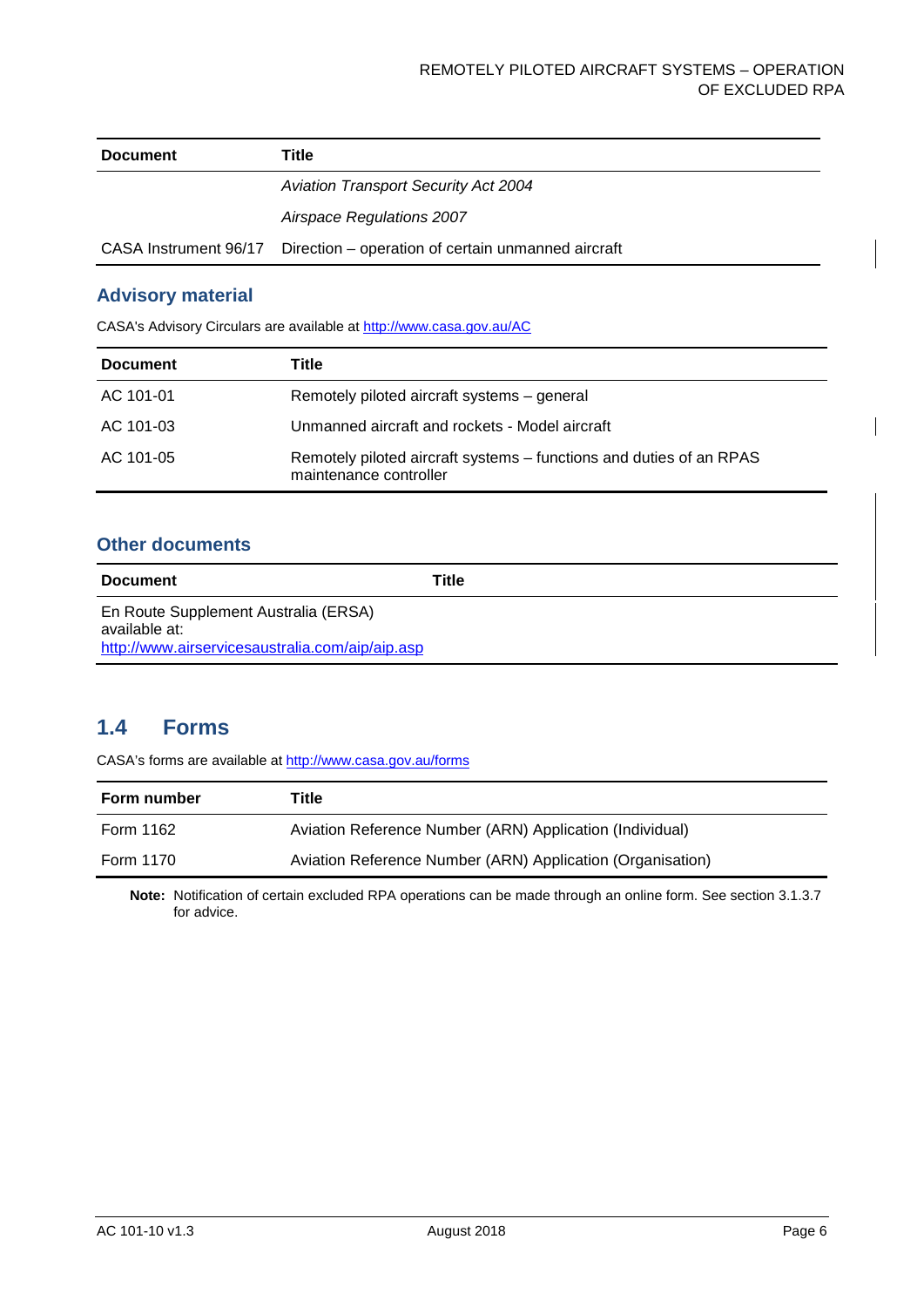| <b>Document</b>       | Title                                              |
|-----------------------|----------------------------------------------------|
|                       | <b>Aviation Transport Security Act 2004</b>        |
|                       | Airspace Regulations 2007                          |
| CASA Instrument 96/17 | Direction – operation of certain unmanned aircraft |

#### **Advisory material**

CASA's Advisory Circulars are available at [http://www.casa.gov.au/AC](http://www.casa.gov.au/ACs)

| <b>Document</b> | Title                                                                                         |
|-----------------|-----------------------------------------------------------------------------------------------|
| AC 101-01       | Remotely piloted aircraft systems – general                                                   |
| AC 101-03       | Unmanned aircraft and rockets - Model aircraft                                                |
| AC 101-05       | Remotely piloted aircraft systems – functions and duties of an RPAS<br>maintenance controller |

#### **Other documents**

| <b>Document</b>                                                                                          | Title |
|----------------------------------------------------------------------------------------------------------|-------|
| En Route Supplement Australia (ERSA)<br>available at:<br>http://www.airservicesaustralia.com/aip/aip.asp |       |

## <span id="page-6-0"></span>**1.4 Forms**

CASA's forms are available a[t http://www.casa.gov.au/forms](http://www.casa.gov.au/forms)

| Form number | Title                                                      |
|-------------|------------------------------------------------------------|
| Form 1162   | Aviation Reference Number (ARN) Application (Individual)   |
| Form 1170   | Aviation Reference Number (ARN) Application (Organisation) |

**Note:** Notification of certain excluded RPA operations can be made through an online form. See sectio[n 3.1.3.7](#page-16-0) for advice.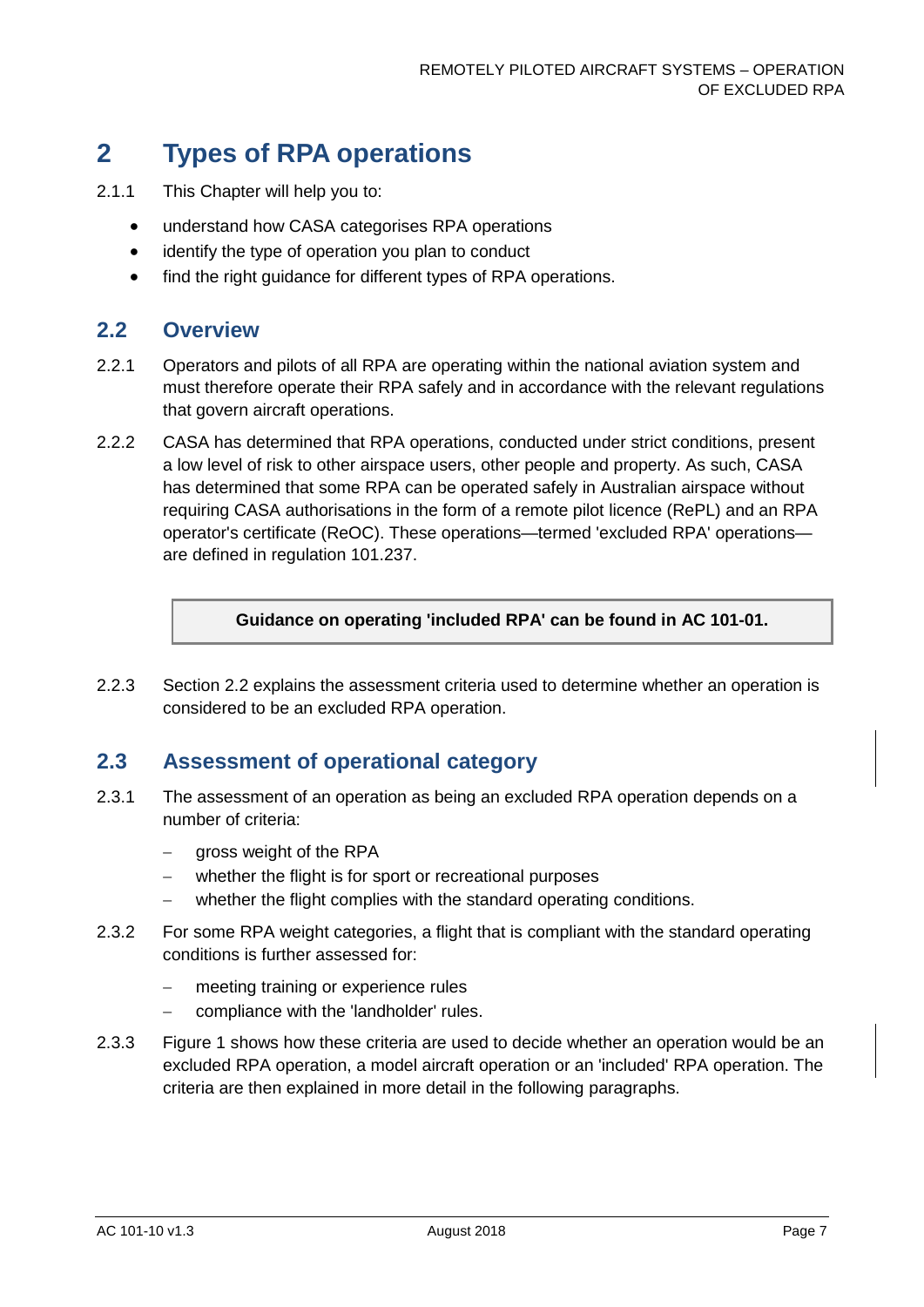# <span id="page-7-0"></span>**2 Types of RPA operations**

- 2.1.1 This Chapter will help you to:
	- understand how CASA categorises RPA operations
	- identify the type of operation you plan to conduct
	- find the right guidance for different types of RPA operations.

### <span id="page-7-1"></span>**2.2 Overview**

- 2.2.1 Operators and pilots of all RPA are operating within the national aviation system and must therefore operate their RPA safely and in accordance with the relevant regulations that govern aircraft operations.
- 2.2.2 CASA has determined that RPA operations, conducted under strict conditions, present a low level of risk to other airspace users, other people and property. As such, CASA has determined that some RPA can be operated safely in Australian airspace without requiring CASA authorisations in the form of a remote pilot licence (RePL) and an RPA operator's certificate (ReOC). These operations—termed 'excluded RPA' operations are defined in regulation 101.237.

**Guidance on operating 'included RPA' can be found in AC 101-01.**

2.2.3 Section [2.2](#page-7-2) explains the assessment criteria used to determine whether an operation is considered to be an excluded RPA operation.

### <span id="page-7-2"></span>**2.3 Assessment of operational category**

- 2.3.1 The assessment of an operation as being an excluded RPA operation depends on a number of criteria:
	- − gross weight of the RPA
	- whether the flight is for sport or recreational purposes
	- whether the flight complies with the standard operating conditions.
- 2.3.2 For some RPA weight categories, a flight that is compliant with the standard operating conditions is further assessed for:
	- meeting training or experience rules
	- − compliance with the 'landholder' rules.
- 2.3.3 [Figure 1](#page-8-0) shows how these criteria are used to decide whether an operation would be an excluded RPA operation, a model aircraft operation or an 'included' RPA operation. The criteria are then explained in more detail in the following paragraphs.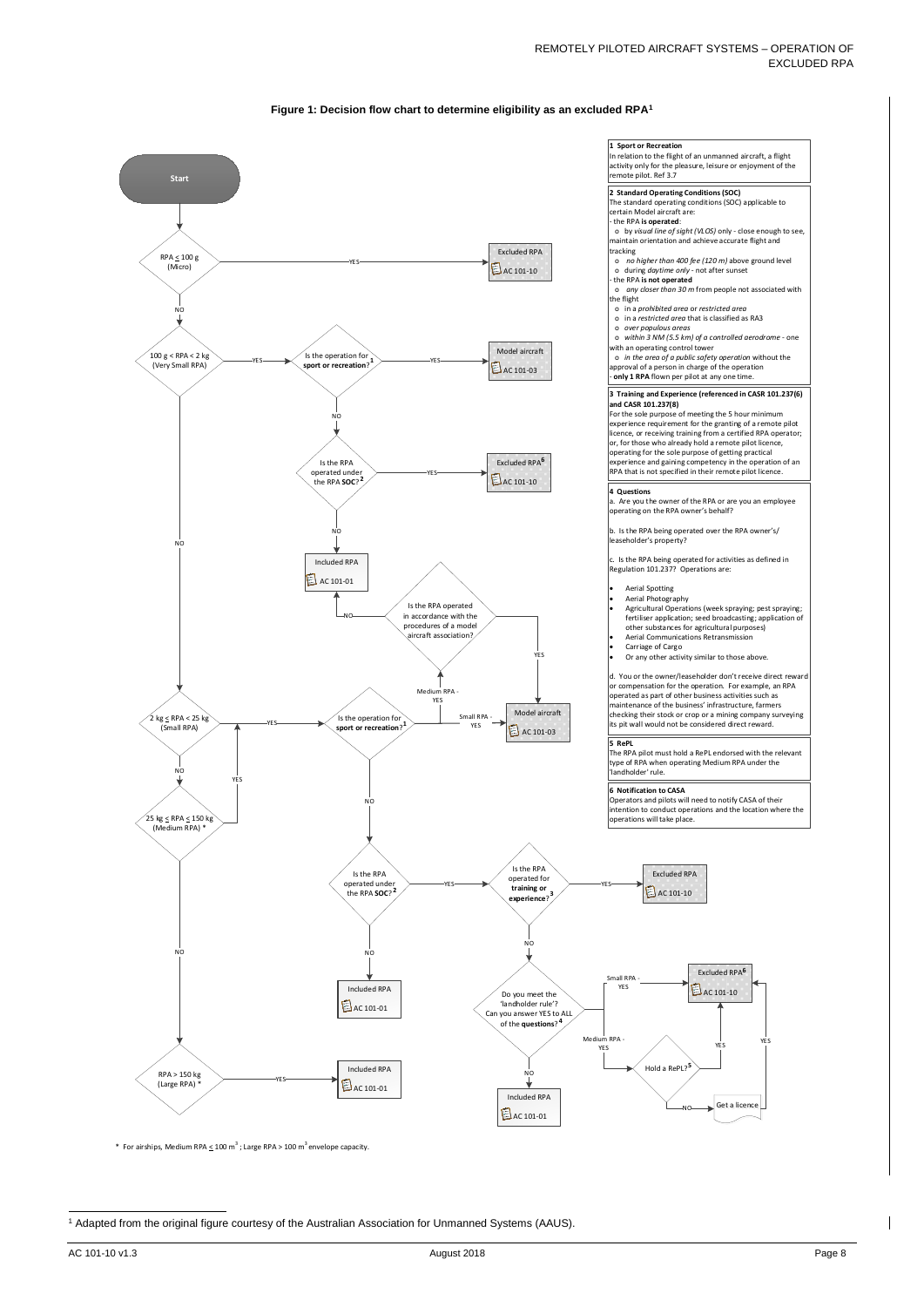AC 101-10 v1.3 August 2018 Page 8

#### <span id="page-8-0"></span>**Figure 1: Decision flow chart to determine eligibility as an excluded RP[A1](#page-8-1)**





\* For airships, Medium RPA  $\leq$  100 m<sup>3</sup>; Large RPA > 100 m<sup>3</sup> envelope capacity.

<span id="page-8-1"></span><sup>1</sup> Adapted from the original figure courtesy of the Australian Association for Unmanned Systems (AAUS).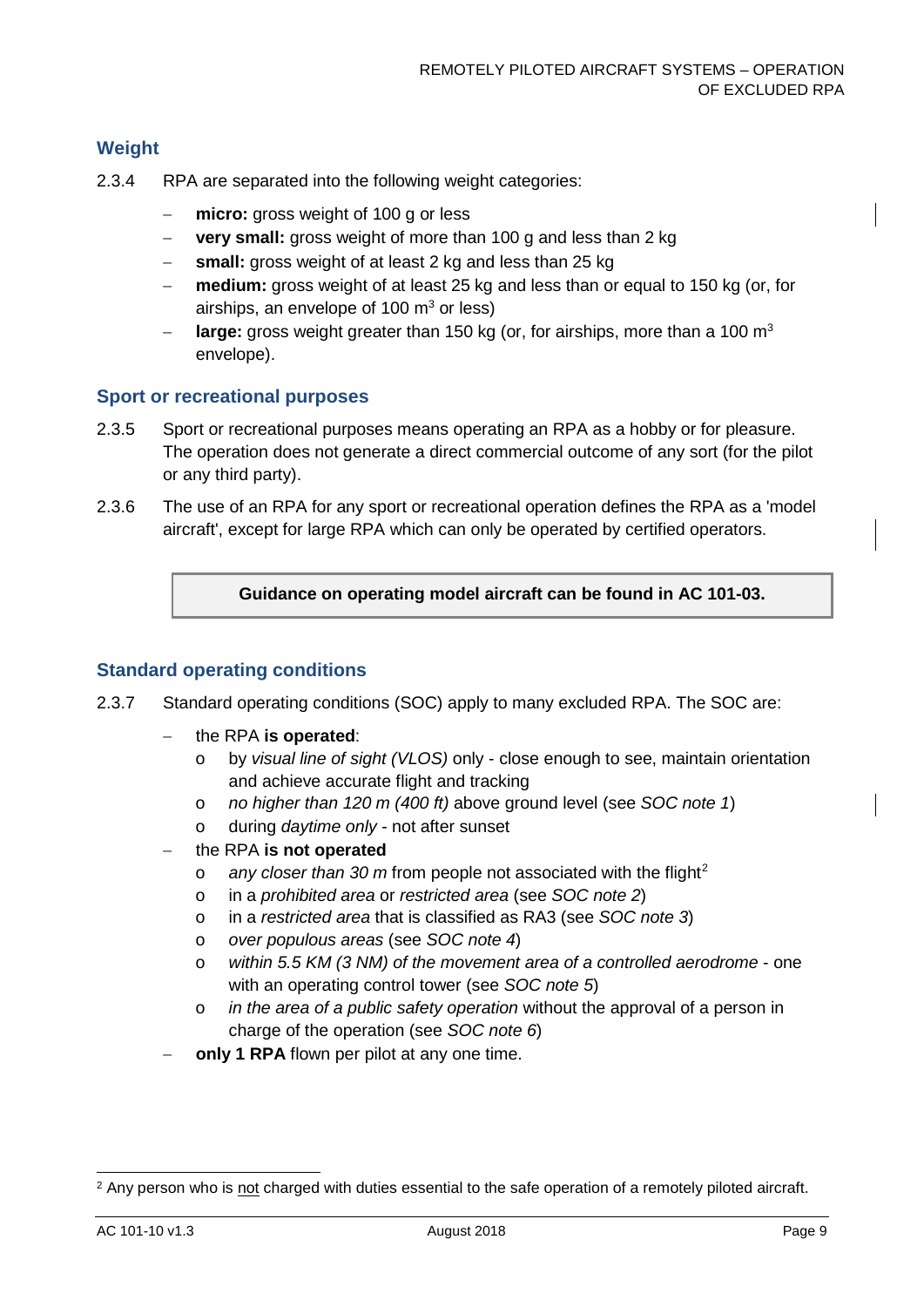#### **Weight**

- 2.3.4 RPA are separated into the following weight categories:
	- − **micro:** gross weight of 100 g or less
	- − **very small:** gross weight of more than 100 g and less than 2 kg
	- small: gross weight of at least 2 kg and less than 25 kg
	- − **medium:** gross weight of at least 25 kg and less than or equal to 150 kg (or, for airships, an envelope of  $100 \text{ m}^3$  or less)
	- **large:** gross weight greater than 150 kg (or, for airships, more than a 100 m<sup>3</sup> envelope).

#### **Sport or recreational purposes**

- 2.3.5 Sport or recreational purposes means operating an RPA as a hobby or for pleasure. The operation does not generate a direct commercial outcome of any sort (for the pilot or any third party).
- 2.3.6 The use of an RPA for any sport or recreational operation defines the RPA as a 'model aircraft', except for large RPA which can only be operated by certified operators.

**Guidance on operating model aircraft can be found in AC 101-03.**

#### **Standard operating conditions**

- 2.3.7 Standard operating conditions (SOC) apply to many excluded RPA. The SOC are:
	- − the RPA **is operated**:
		- o by *visual line of sight (VLOS)* only close enough to see, maintain orientation and achieve accurate flight and tracking
		- o *no higher than 120 m (400 ft)* above ground level (see *SOC note 1*)
		- o during *daytime only* not after sunset
	- − the RPA **is not operated**
		- o *any closer than 30 m* from people not associated with the flight[2](#page-9-0)
		- o in a *prohibited area* or *restricted area* (see *SOC note 2*)
		- o in a *restricted area* that is classified as RA3 (see *SOC note 3*)
		- o *over populous areas* (see *SOC note 4*)
		- o *within 5.5 KM (3 NM) of the movement area of a controlled aerodrome* one with an operating control tower (see *SOC note 5*)
		- o *in the area of a public safety operation* without the approval of a person in charge of the operation (see *SOC note 6*)
	- **only 1 RPA** flown per pilot at any one time.

<span id="page-9-0"></span><sup>&</sup>lt;sup>2</sup> Any person who is not charged with duties essential to the safe operation of a remotely piloted aircraft.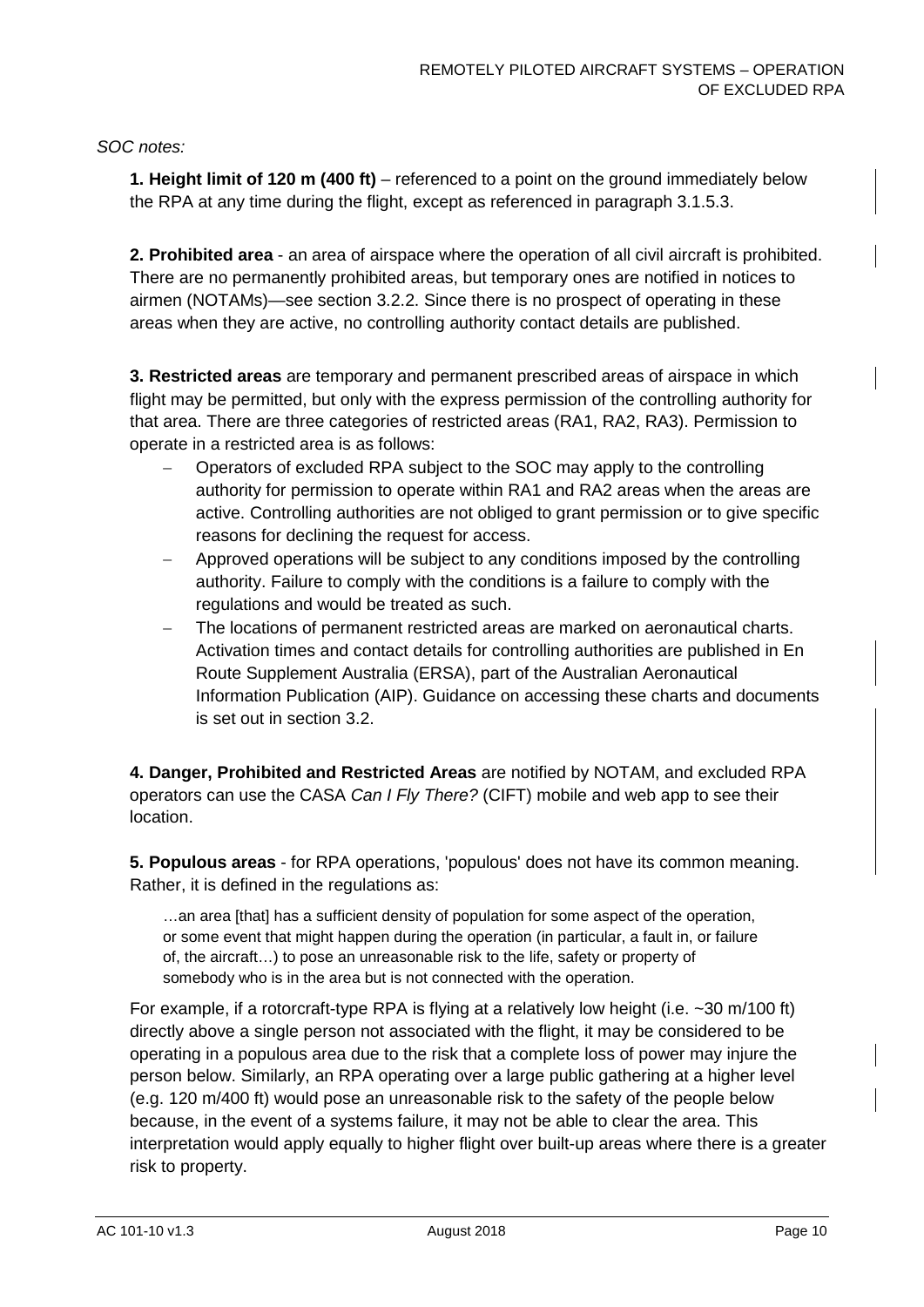*SOC notes:*

**1. Height limit of 120 m (400 ft)** – referenced to a point on the ground immediately below the RPA at any time during the flight, except as referenced in paragraph 3.1.5.3.

**2. Prohibited area** - an area of airspace where the operation of all civil aircraft is prohibited. There are no permanently prohibited areas, but temporary ones are notified in notices to airmen (NOTAMs)—see section [3.2.2.](#page-19-1) Since there is no prospect of operating in these areas when they are active, no controlling authority contact details are published.

**3. Restricted areas** are temporary and permanent prescribed areas of airspace in which flight may be permitted, but only with the express permission of the controlling authority for that area. There are three categories of restricted areas (RA1, RA2, RA3). Permission to operate in a restricted area is as follows:

- − Operators of excluded RPA subject to the SOC may apply to the controlling authority for permission to operate within RA1 and RA2 areas when the areas are active. Controlling authorities are not obliged to grant permission or to give specific reasons for declining the request for access.
- − Approved operations will be subject to any conditions imposed by the controlling authority. Failure to comply with the conditions is a failure to comply with the regulations and would be treated as such.
- The locations of permanent restricted areas are marked on aeronautical charts. Activation times and contact details for controlling authorities are published in En Route Supplement Australia (ERSA), part of the Australian Aeronautical Information Publication (AIP). Guidance on accessing these charts and documents is set out in section [3.2.](#page-19-0)

**4. Danger, Prohibited and Restricted Areas** are notified by NOTAM, and excluded RPA operators can use the CASA *Can I Fly There?* (CIFT) mobile and web app to see their location.

**5. Populous areas** - for RPA operations, 'populous' does not have its common meaning. Rather, it is defined in the regulations as:

…an area [that] has a sufficient density of population for some aspect of the operation, or some event that might happen during the operation (in particular, a fault in, or failure of, the aircraft…) to pose an unreasonable risk to the life, safety or property of somebody who is in the area but is not connected with the operation.

For example, if a rotorcraft-type RPA is flying at a relatively low height (i.e. ~30 m/100 ft) directly above a single person not associated with the flight, it may be considered to be operating in a populous area due to the risk that a complete loss of power may injure the person below. Similarly, an RPA operating over a large public gathering at a higher level (e.g. 120 m/400 ft) would pose an unreasonable risk to the safety of the people below because, in the event of a systems failure, it may not be able to clear the area. This interpretation would apply equally to higher flight over built-up areas where there is a greater risk to property.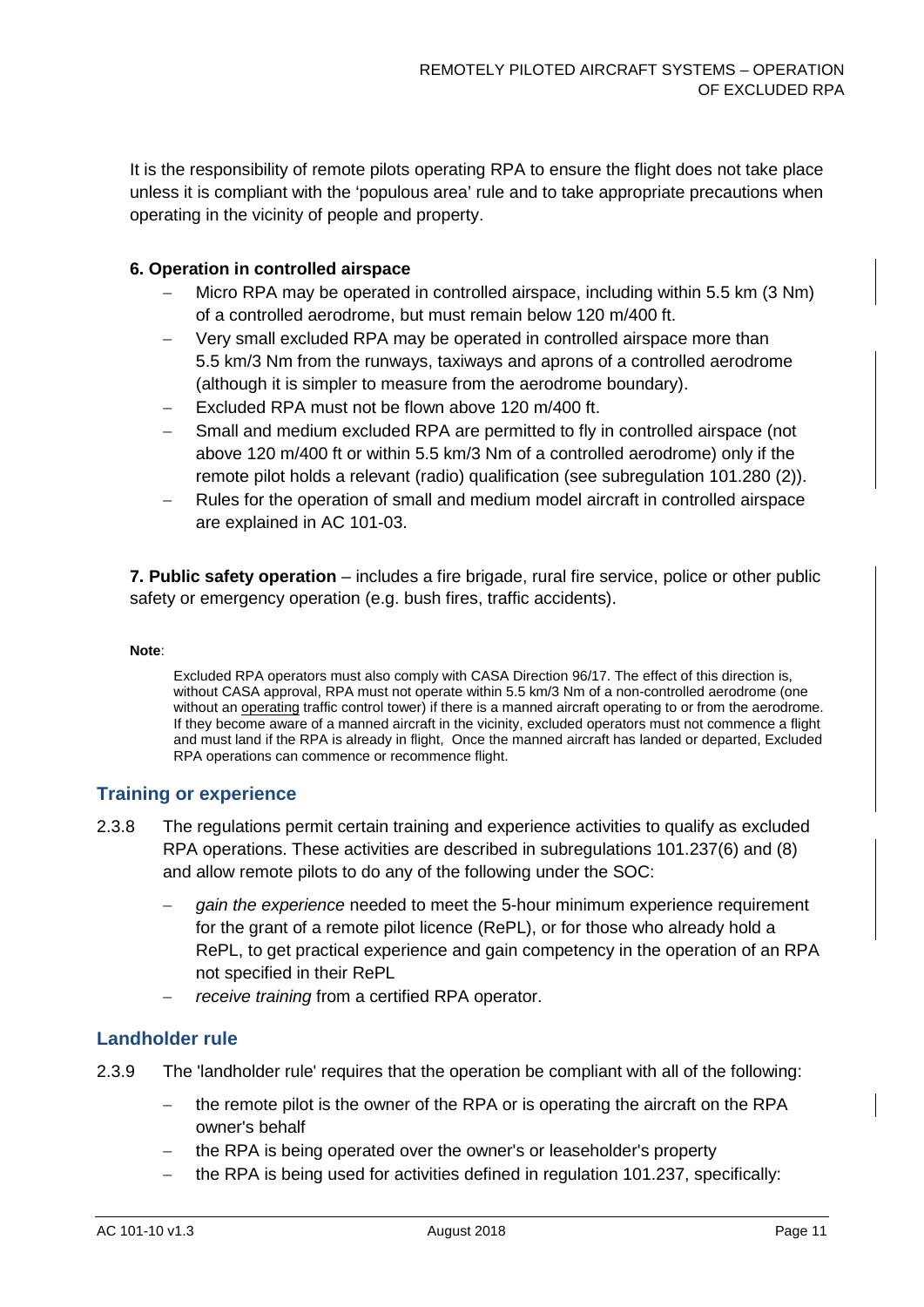It is the responsibility of remote pilots operating RPA to ensure the flight does not take place unless it is compliant with the 'populous area' rule and to take appropriate precautions when operating in the vicinity of people and property.

#### **6. Operation in controlled airspace**

- − Micro RPA may be operated in controlled airspace, including within 5.5 km (3 Nm) of a controlled aerodrome, but must remain below 120 m/400 ft.
- Very small excluded RPA may be operated in controlled airspace more than 5.5 km/3 Nm from the runways, taxiways and aprons of a controlled aerodrome (although it is simpler to measure from the aerodrome boundary).
- Excluded RPA must not be flown above 120 m/400 ft.
- Small and medium excluded RPA are permitted to fly in controlled airspace (not above 120 m/400 ft or within 5.5 km/3 Nm of a controlled aerodrome) only if the remote pilot holds a relevant (radio) qualification (see subregulation 101.280 (2)).
- Rules for the operation of small and medium model aircraft in controlled airspace are explained in AC 101-03.

**7. Public safety operation** – includes a fire brigade, rural fire service, police or other public safety or emergency operation (e.g. bush fires, traffic accidents).

#### **Note**:

Excluded RPA operators must also comply with CASA Direction 96/17. The effect of this direction is, without CASA approval, RPA must not operate within 5.5 km/3 Nm of a non-controlled aerodrome (one without an operating traffic control tower) if there is a manned aircraft operating to or from the aerodrome. If they become aware of a manned aircraft in the vicinity, excluded operators must not commence a flight and must land if the RPA is already in flight, Once the manned aircraft has landed or departed, Excluded RPA operations can commence or recommence flight.

#### **Training or experience**

- 2.3.8 The regulations permit certain training and experience activities to qualify as excluded RPA operations. These activities are described in subregulations 101.237(6) and (8) and allow remote pilots to do any of the following under the SOC:
	- − *gain the experience* needed to meet the 5-hour minimum experience requirement for the grant of a remote pilot licence (RePL), or for those who already hold a RePL, to get practical experience and gain competency in the operation of an RPA not specified in their RePL
	- *receive training* from a certified RPA operator.

#### **Landholder rule**

- <span id="page-11-0"></span>2.3.9 The 'landholder rule' requires that the operation be compliant with all of the following:
	- the remote pilot is the owner of the RPA or is operating the aircraft on the RPA owner's behalf
	- the RPA is being operated over the owner's or leaseholder's property
	- the RPA is being used for activities defined in regulation 101.237, specifically: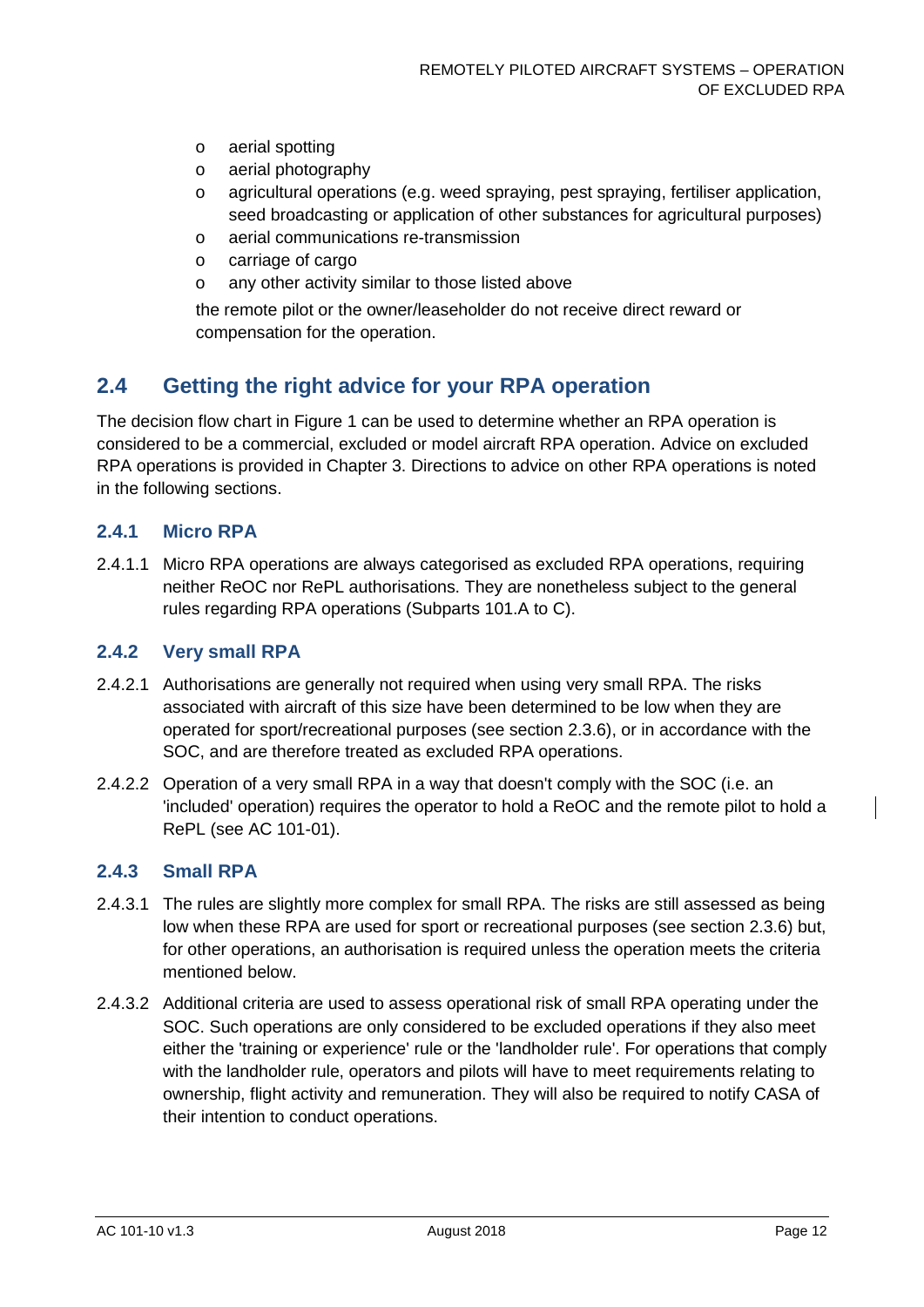- o aerial spotting
- o aerial photography
- o agricultural operations (e.g. weed spraying, pest spraying, fertiliser application, seed broadcasting or application of other substances for agricultural purposes)
- o aerial communications re-transmission
- o carriage of cargo
- o any other activity similar to those listed above

the remote pilot or the owner/leaseholder do not receive direct reward or compensation for the operation.

## <span id="page-12-0"></span>**2.4 Getting the right advice for your RPA operation**

The decision flow chart in Figure 1 can be used to determine whether an RPA operation is considered to be a commercial, excluded or model aircraft RPA operation. Advice on excluded RPA operations is provided in Chapter [3.](#page-15-0) Directions to advice on other RPA operations is noted in the following sections.

#### **2.4.1 Micro RPA**

2.4.1.1 Micro RPA operations are always categorised as excluded RPA operations, requiring neither ReOC nor RePL authorisations. They are nonetheless subject to the general rules regarding RPA operations (Subparts 101.A to C).

#### **2.4.2 Very small RPA**

- 2.4.2.1 Authorisations are generally not required when using very small RPA. The risks associated with aircraft of this size have been determined to be low when they are operated for sport/recreational purposes (see section [2.3.6\)](#page-13-0), or in accordance with the SOC, and are therefore treated as excluded RPA operations.
- 2.4.2.2 Operation of a very small RPA in a way that doesn't comply with the SOC (i.e. an 'included' operation) requires the operator to hold a ReOC and the remote pilot to hold a RePL (see AC 101-01).

#### **2.4.3 Small RPA**

- 2.4.3.1 The rules are slightly more complex for small RPA. The risks are still assessed as being low when these RPA are used for sport or recreational purposes (see section [2.3.6\)](#page-13-0) but, for other operations, an authorisation is required unless the operation meets the criteria mentioned below.
- 2.4.3.2 Additional criteria are used to assess operational risk of small RPA operating under the SOC. Such operations are only considered to be excluded operations if they also meet either the 'training or experience' rule or the 'landholder rule'. For operations that comply with the landholder rule, operators and pilots will have to meet requirements relating to ownership, flight activity and remuneration. They will also be required to notify CASA of their intention to conduct operations.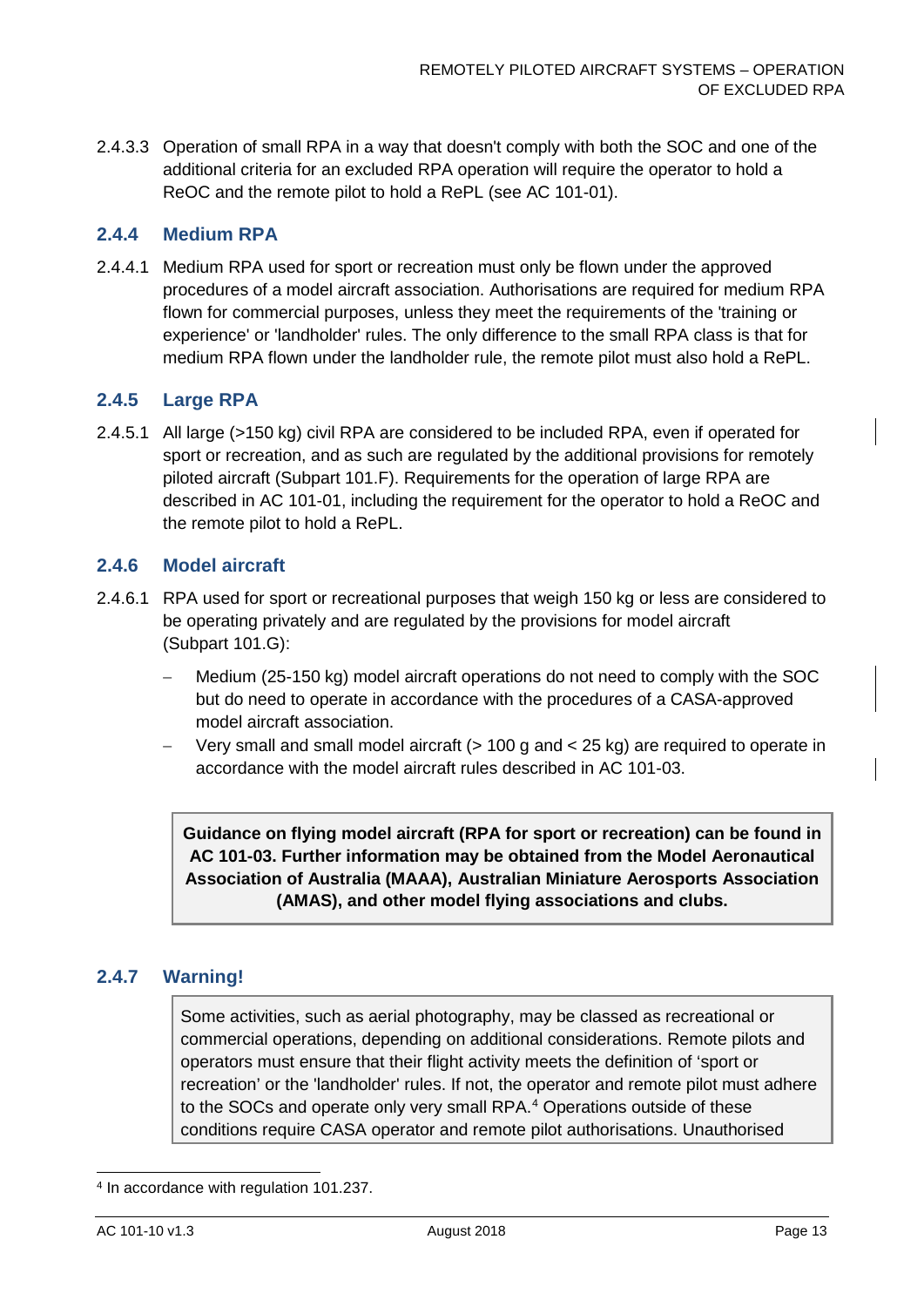2.4.3.3 Operation of small RPA in a way that doesn't comply with both the SOC and one of the additional criteria for an excluded RPA operation will require the operator to hold a ReOC and the remote pilot to hold a RePL (see AC 101-01).

#### **2.4.4 Medium RPA**

2.4.4.1 Medium RPA used for sport or recreation must only be flown under the approved procedures of a model aircraft association. Authorisations are required for medium RPA flown for commercial purposes, unless they meet the requirements of the 'training or experience' or 'landholder' rules. The only difference to the small RPA class is that for medium RPA flown under the landholder rule, the remote pilot must also hold a RePL.

#### **2.4.5 Large RPA**

2.4.5.1 All large (>150 kg) civil RPA are considered to be included RPA, even if operated for sport or recreation, and as such are regulated by the additional provisions for remotely piloted aircraft (Subpart 101.F). Requirements for the operation of large RPA are described in AC 101-01, including the requirement for the operator to hold a ReOC and the remote pilot to hold a RePL.

#### <span id="page-13-0"></span>**2.4.6 Model aircraft**

- 2.4.6.1 RPA used for sport or recreational purposes that weigh 150 kg or less are considered to be operating privately and are regulated by the provisions for model aircraft (Subpart 101.G):
	- − Medium (25-150 kg) model aircraft operations do not need to comply with the SOC but do need to operate in accordance with the procedures of a CASA-approved model aircraft association.
	- − Very small and small model aircraft (> 100 g and < 25 kg) are required to operate in accordance with the model aircraft rules described in AC 101-03.

**Guidance on flying model aircraft (RPA for sport or recreation) can be found in AC 101-03. Further information may be obtained from the Model Aeronautical Association of Australia (MAAA), Australian Miniature Aerosports Association (AMAS), and other model flying associations and clubs.**

#### **2.4.7 Warning!**

Some activities, such as aerial photography, may be classed as recreational or commercial operations, depending on additional considerations. Remote pilots and operators must ensure that their flight activity meets the definition of 'sport or recreation' or the 'landholder' rules. If not, the operator and remote pilot must adhere to the SOCs and operate only very small RPA.<sup>[4](#page-13-1)</sup> Operations outside of these conditions require CASA operator and remote pilot authorisations. Unauthorised

<span id="page-13-1"></span> <sup>4</sup> In accordance with regulation 101.237.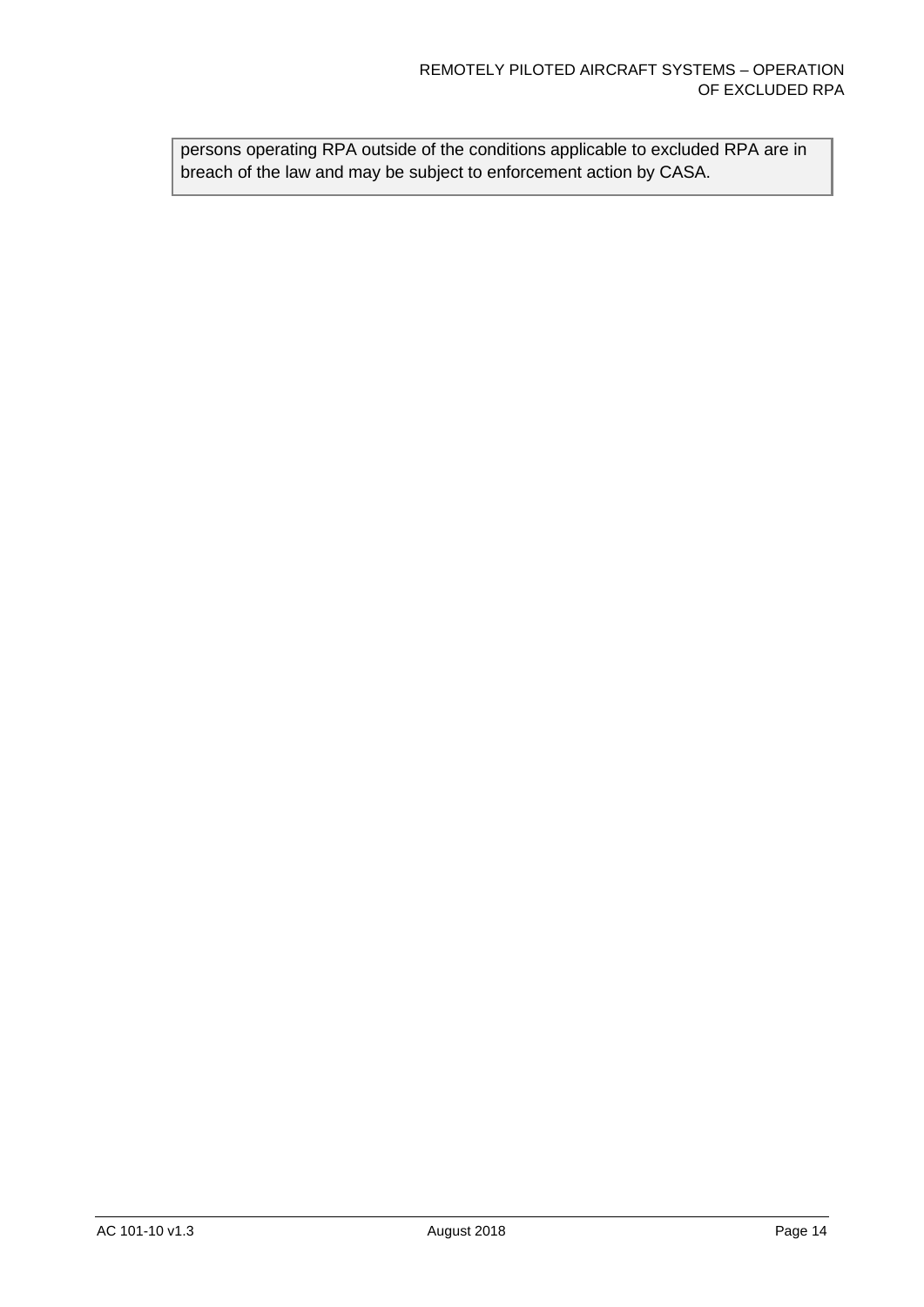persons operating RPA outside of the conditions applicable to excluded RPA are in breach of the law and may be subject to enforcement action by CASA.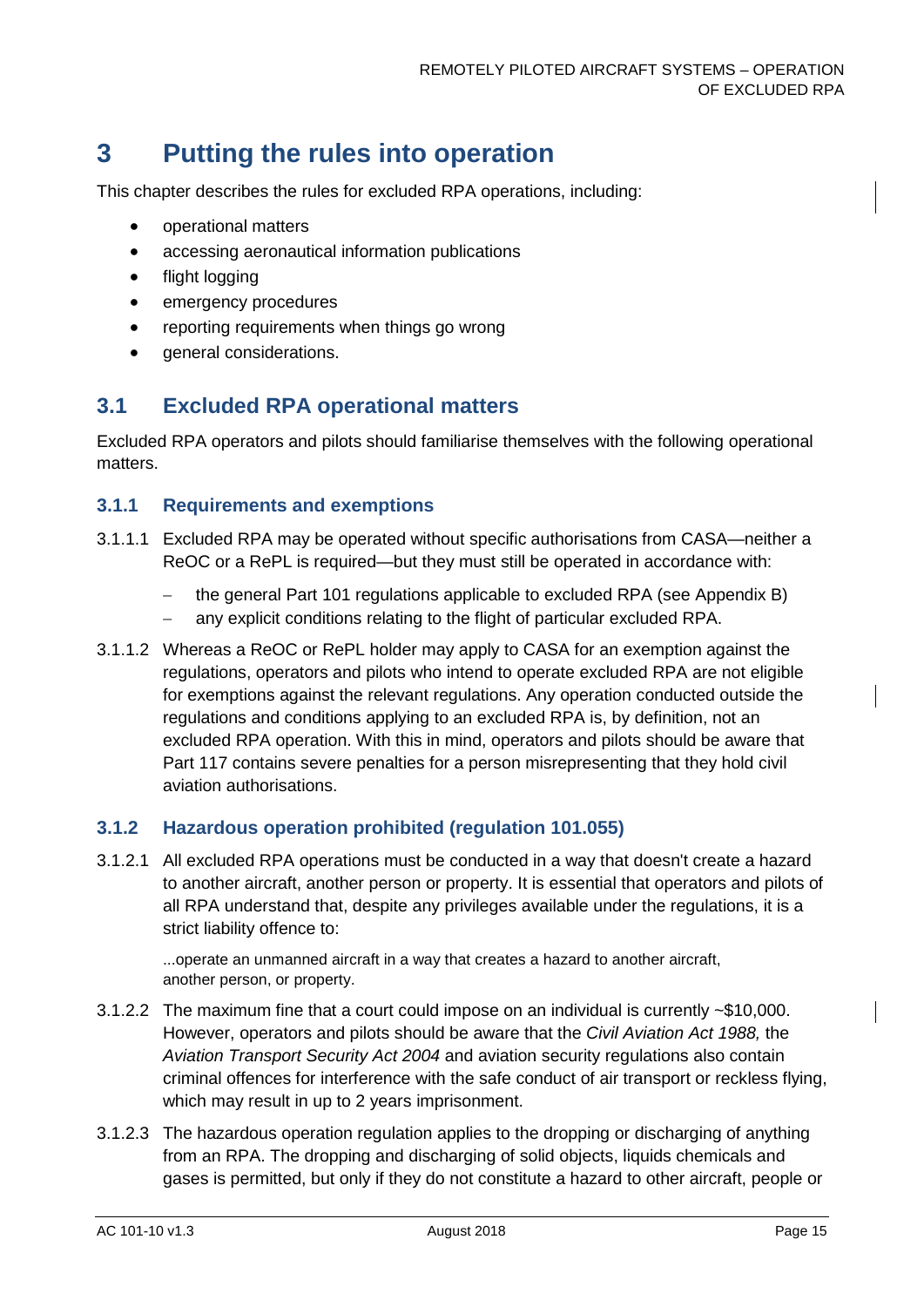# <span id="page-15-0"></span>**3 Putting the rules into operation**

This chapter describes the rules for excluded RPA operations, including:

- operational matters
- accessing aeronautical information publications
- flight logging
- emergency procedures
- reporting requirements when things go wrong
- general considerations.

# <span id="page-15-1"></span>**3.1 Excluded RPA operational matters**

Excluded RPA operators and pilots should familiarise themselves with the following operational matters.

#### **3.1.1 Requirements and exemptions**

- 3.1.1.1 Excluded RPA may be operated without specific authorisations from CASA—neither a ReOC or a RePL is required—but they must still be operated in accordance with:
	- − the general Part 101 regulations applicable to excluded RPA (see [Appendix B\)](#page-28-0)
	- − any explicit conditions relating to the flight of particular excluded RPA.
- 3.1.1.2 Whereas a ReOC or RePL holder may apply to CASA for an exemption against the regulations, operators and pilots who intend to operate excluded RPA are not eligible for exemptions against the relevant regulations. Any operation conducted outside the regulations and conditions applying to an excluded RPA is, by definition, not an excluded RPA operation. With this in mind, operators and pilots should be aware that Part 117 contains severe penalties for a person misrepresenting that they hold civil aviation authorisations.

#### **3.1.2 Hazardous operation prohibited (regulation 101.055)**

3.1.2.1 All excluded RPA operations must be conducted in a way that doesn't create a hazard to another aircraft, another person or property. It is essential that operators and pilots of all RPA understand that, despite any privileges available under the regulations, it is a strict liability offence to:

...operate an unmanned aircraft in a way that creates a hazard to another aircraft, another person, or property.

- 3.1.2.2 The maximum fine that a court could impose on an individual is currently ~\$10,000. However, operators and pilots should be aware that the *Civil Aviation Act 1988,* the *Aviation Transport Security Act 2004* and aviation security regulations also contain criminal offences for interference with the safe conduct of air transport or reckless flying, which may result in up to 2 years imprisonment.
- 3.1.2.3 The hazardous operation regulation applies to the dropping or discharging of anything from an RPA. The dropping and discharging of solid objects, liquids chemicals and gases is permitted, but only if they do not constitute a hazard to other aircraft, people or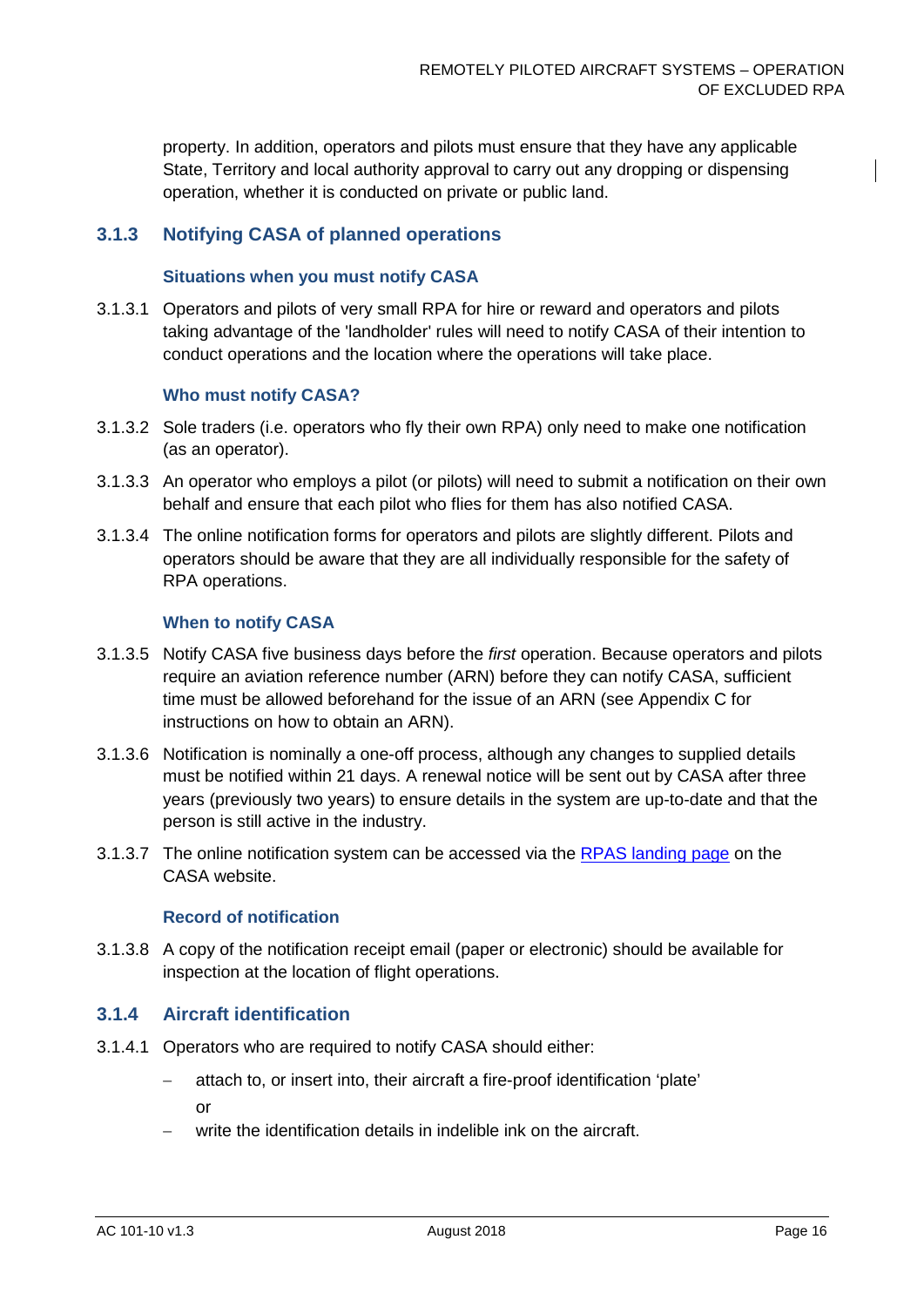property. In addition, operators and pilots must ensure that they have any applicable State, Territory and local authority approval to carry out any dropping or dispensing operation, whether it is conducted on private or public land.

#### **3.1.3 Notifying CASA of planned operations**

#### **Situations when you must notify CASA**

3.1.3.1 Operators and pilots of very small RPA for hire or reward and operators and pilots taking advantage of the 'landholder' rules will need to notify CASA of their intention to conduct operations and the location where the operations will take place.

#### **Who must notify CASA?**

- 3.1.3.2 Sole traders (i.e. operators who fly their own RPA) only need to make one notification (as an operator).
- 3.1.3.3 An operator who employs a pilot (or pilots) will need to submit a notification on their own behalf and ensure that each pilot who flies for them has also notified CASA.
- 3.1.3.4 The online notification forms for operators and pilots are slightly different. Pilots and operators should be aware that they are all individually responsible for the safety of RPA operations.

#### **When to notify CASA**

- 3.1.3.5 Notify CASA five business days before the *first* operation. Because operators and pilots require an aviation reference number (ARN) before they can notify CASA, sufficient time must be allowed beforehand for the issue of an ARN (see [Appendix C](#page-31-0) for instructions on how to obtain an ARN).
- 3.1.3.6 Notification is nominally a one-off process, although any changes to supplied details must be notified within 21 days. A renewal notice will be sent out by CASA after three years (previously two years) to ensure details in the system are up-to-date and that the person is still active in the industry.
- <span id="page-16-0"></span>3.1.3.7 The online notification system can be accessed via the [RPAS landing page](https://www.casa.gov.au/aircraft/landing-page/remotely-piloted-aircraft-system) on the CASA website.

#### **Record of notification**

3.1.3.8 A copy of the notification receipt email (paper or electronic) should be available for inspection at the location of flight operations.

#### **3.1.4 Aircraft identification**

- 3.1.4.1 Operators who are required to notify CASA should either:
	- − attach to, or insert into, their aircraft a fire-proof identification 'plate'

or

write the identification details in indelible ink on the aircraft.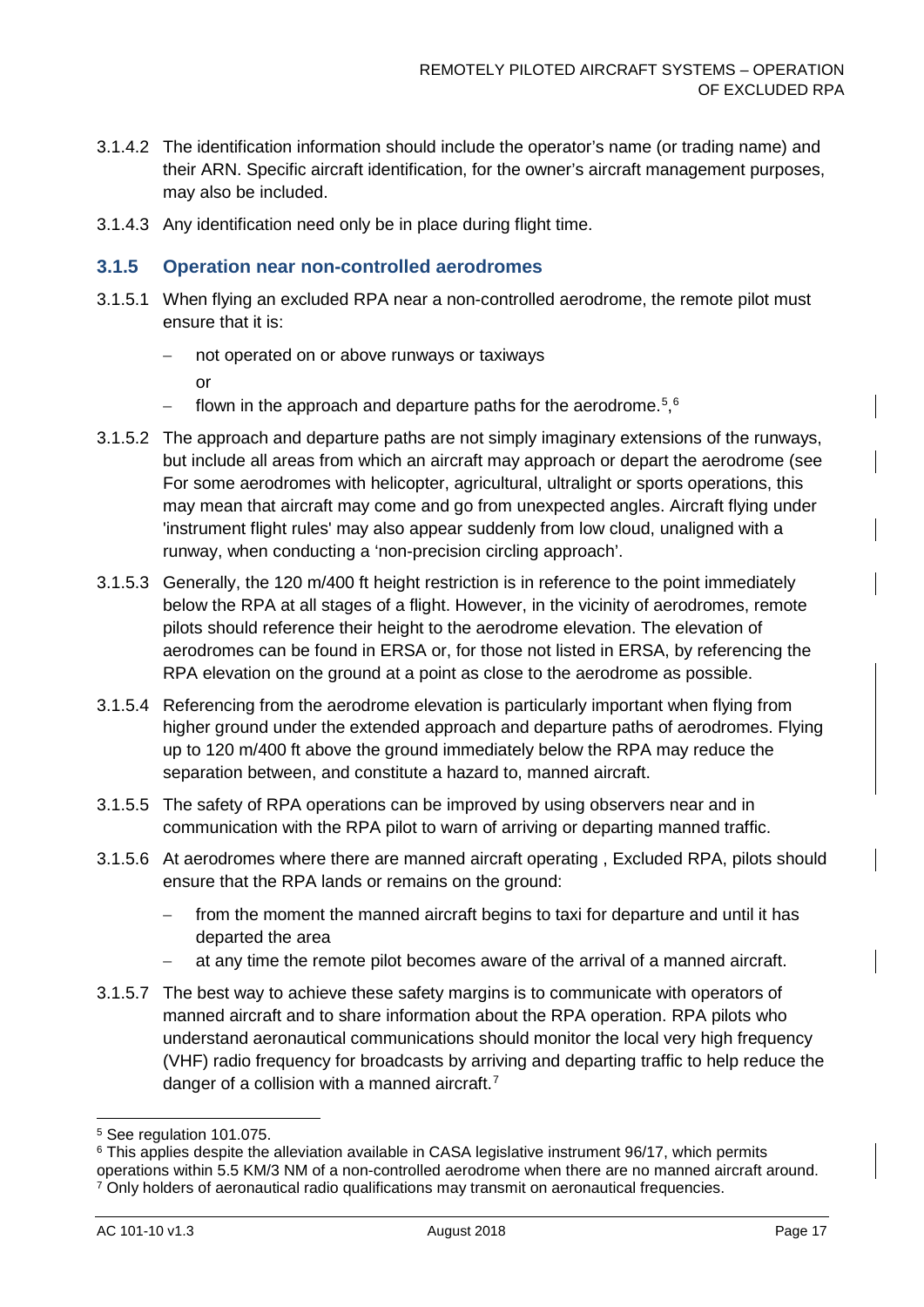- 3.1.4.2 The identification information should include the operator's name (or trading name) and their ARN. Specific aircraft identification, for the owner's aircraft management purposes, may also be included.
- 3.1.4.3 Any identification need only be in place during flight time.

#### **3.1.5 Operation near non-controlled aerodromes**

- 3.1.5.1 When flying an excluded RPA near a non-controlled aerodrome, the remote pilot must ensure that it is:
	- not operated on or above runways or taxiways
		- or
	- − flown in the approach and departure paths for the aerodrome.<sup>[5](#page-17-0),[6](#page-17-1)</sup>
- 3.1.5.2 The approach and departure paths are not simply imaginary extensions of the runways, but include all areas from which an aircraft may approach or depart the aerodrome (see For some aerodromes with helicopter, agricultural, ultralight or sports operations, this may mean that aircraft may come and go from unexpected angles. Aircraft flying under 'instrument flight rules' may also appear suddenly from low cloud, unaligned with a runway, when conducting a 'non-precision circling approach'.
- 3.1.5.3 Generally, the 120 m/400 ft height restriction is in reference to the point immediately below the RPA at all stages of a flight. However, in the vicinity of aerodromes, remote pilots should reference their height to the aerodrome elevation. The elevation of aerodromes can be found in ERSA or, for those not listed in ERSA, by referencing the RPA elevation on the ground at a point as close to the aerodrome as possible.
- 3.1.5.4 Referencing from the aerodrome elevation is particularly important when flying from higher ground under the extended approach and departure paths of aerodromes. Flying up to 120 m/400 ft above the ground immediately below the RPA may reduce the separation between, and constitute a hazard to, manned aircraft.
- 3.1.5.5 The safety of RPA operations can be improved by using observers near and in communication with the RPA pilot to warn of arriving or departing manned traffic.
- 3.1.5.6 At aerodromes where there are manned aircraft operating , Excluded RPA, pilots should ensure that the RPA lands or remains on the ground:
	- from the moment the manned aircraft begins to taxi for departure and until it has departed the area
	- − at any time the remote pilot becomes aware of the arrival of a manned aircraft.
- 3.1.5.7 The best way to achieve these safety margins is to communicate with operators of manned aircraft and to share information about the RPA operation. RPA pilots who understand aeronautical communications should monitor the local very high frequency (VHF) radio frequency for broadcasts by arriving and departing traffic to help reduce the danger of a collision with a manned aircraft. $^7$  $^7$

<span id="page-17-0"></span> <sup>5</sup> See regulation 101.075.

<span id="page-17-1"></span><sup>&</sup>lt;sup>6</sup> This applies despite the alleviation available in CASA legislative instrument 96/17, which permits

<span id="page-17-2"></span>operations within 5.5 KM/3 NM of a non-controlled aerodrome when there are no manned aircraft around.  $7$  Only holders of aeronautical radio qualifications may transmit on aeronautical frequencies.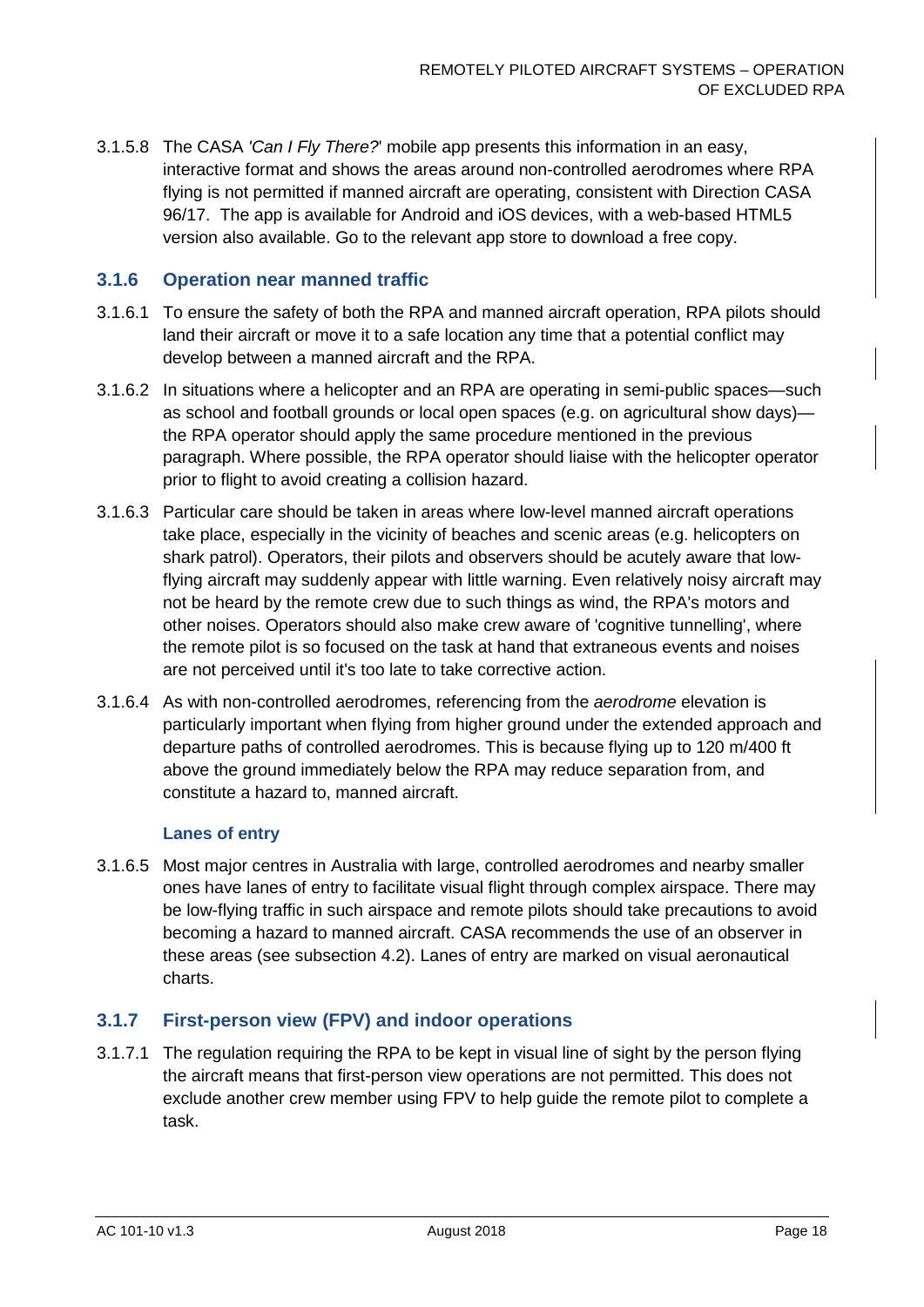3.1.5.8 The CASA *'Can I Fly There?*' mobile app presents this information in an easy, interactive format and shows the areas around non-controlled aerodromes where RPA flying is not permitted if manned aircraft are operating, consistent with Direction CASA 96/17. The app is available for Android and iOS devices, with a web-based HTML5 version also available. Go to the relevant app store to download a free copy.

#### **3.1.6 Operation near manned traffic**

- 3.1.6.1 To ensure the safety of both the RPA and manned aircraft operation, RPA pilots should land their aircraft or move it to a safe location any time that a potential conflict may develop between a manned aircraft and the RPA.
- 3.1.6.2 In situations where a helicopter and an RPA are operating in semi-public spaces—such as school and football grounds or local open spaces (e.g. on agricultural show days) the RPA operator should apply the same procedure mentioned in the previous paragraph. Where possible, the RPA operator should liaise with the helicopter operator prior to flight to avoid creating a collision hazard.
- 3.1.6.3 Particular care should be taken in areas where low-level manned aircraft operations take place, especially in the vicinity of beaches and scenic areas (e.g. helicopters on shark patrol). Operators, their pilots and observers should be acutely aware that lowflying aircraft may suddenly appear with little warning. Even relatively noisy aircraft may not be heard by the remote crew due to such things as wind, the RPA's motors and other noises. Operators should also make crew aware of 'cognitive tunnelling', where the remote pilot is so focused on the task at hand that extraneous events and noises are not perceived until it's too late to take corrective action.
- 3.1.6.4 As with non-controlled aerodromes, referencing from the *aerodrome* elevation is particularly important when flying from higher ground under the extended approach and departure paths of controlled aerodromes. This is because flying up to 120 m/400 ft above the ground immediately below the RPA may reduce separation from, and constitute a hazard to, manned aircraft.

#### **Lanes of entry**

3.1.6.5 Most major centres in Australia with large, controlled aerodromes and nearby smaller ones have lanes of entry to facilitate visual flight through complex airspace. There may be low-flying traffic in such airspace and remote pilots should take precautions to avoid becoming a hazard to manned aircraft. CASA recommends the use of an observer in these areas (see subsection [4.2\)](#page-24-0). Lanes of entry are marked on visual aeronautical charts.

#### **3.1.7 First-person view (FPV) and indoor operations**

3.1.7.1 The regulation requiring the RPA to be kept in visual line of sight by the person flying the aircraft means that first-person view operations are not permitted. This does not exclude another crew member using FPV to help guide the remote pilot to complete a task.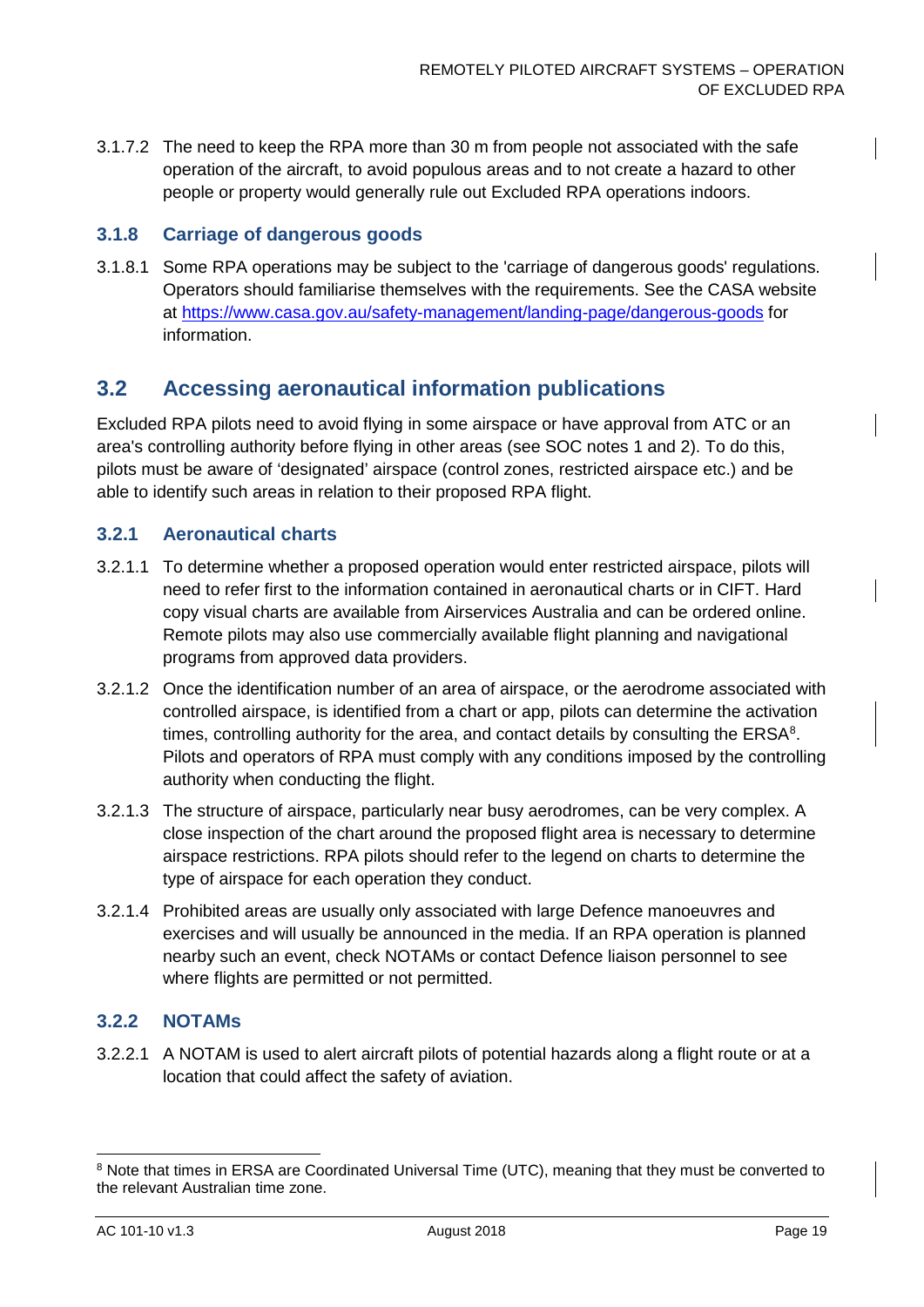3.1.7.2 The need to keep the RPA more than 30 m from people not associated with the safe operation of the aircraft, to avoid populous areas and to not create a hazard to other people or property would generally rule out Excluded RPA operations indoors.

#### **3.1.8 Carriage of dangerous goods**

3.1.8.1 Some RPA operations may be subject to the 'carriage of dangerous goods' regulations. Operators should familiarise themselves with the requirements. See the CASA website at<https://www.casa.gov.au/safety-management/landing-page/dangerous-goods> for information.

### <span id="page-19-0"></span>**3.2 Accessing aeronautical information publications**

Excluded RPA pilots need to avoid flying in some airspace or have approval from ATC or an area's controlling authority before flying in other areas (see SOC notes 1 and 2). To do this, pilots must be aware of 'designated' airspace (control zones, restricted airspace etc.) and be able to identify such areas in relation to their proposed RPA flight.

#### **3.2.1 Aeronautical charts**

- 3.2.1.1 To determine whether a proposed operation would enter restricted airspace, pilots will need to refer first to the information contained in aeronautical charts or in CIFT. Hard copy visual charts are available from Airservices Australia and can be ordered online. Remote pilots may also use commercially available flight planning and navigational programs from approved data providers.
- 3.2.1.2 Once the identification number of an area of airspace, or the aerodrome associated with controlled airspace, is identified from a chart or app, pilots can determine the activation times, controlling authority for the area, and contact details by consulting the  $ERSA<sup>8</sup>$  $ERSA<sup>8</sup>$  $ERSA<sup>8</sup>$ . Pilots and operators of RPA must comply with any conditions imposed by the controlling authority when conducting the flight.
- 3.2.1.3 The structure of airspace, particularly near busy aerodromes, can be very complex. A close inspection of the chart around the proposed flight area is necessary to determine airspace restrictions. RPA pilots should refer to the legend on charts to determine the type of airspace for each operation they conduct.
- 3.2.1.4 Prohibited areas are usually only associated with large Defence manoeuvres and exercises and will usually be announced in the media. If an RPA operation is planned nearby such an event, check NOTAMs or contact Defence liaison personnel to see where flights are permitted or not permitted.

#### <span id="page-19-1"></span>**3.2.2 NOTAMs**

3.2.2.1 A NOTAM is used to alert aircraft pilots of potential hazards along a flight route or at a location that could affect the safety of aviation.

<span id="page-19-2"></span><sup>&</sup>lt;sup>8</sup> Note that times in ERSA are Coordinated Universal Time (UTC), meaning that they must be converted to the relevant Australian time zone.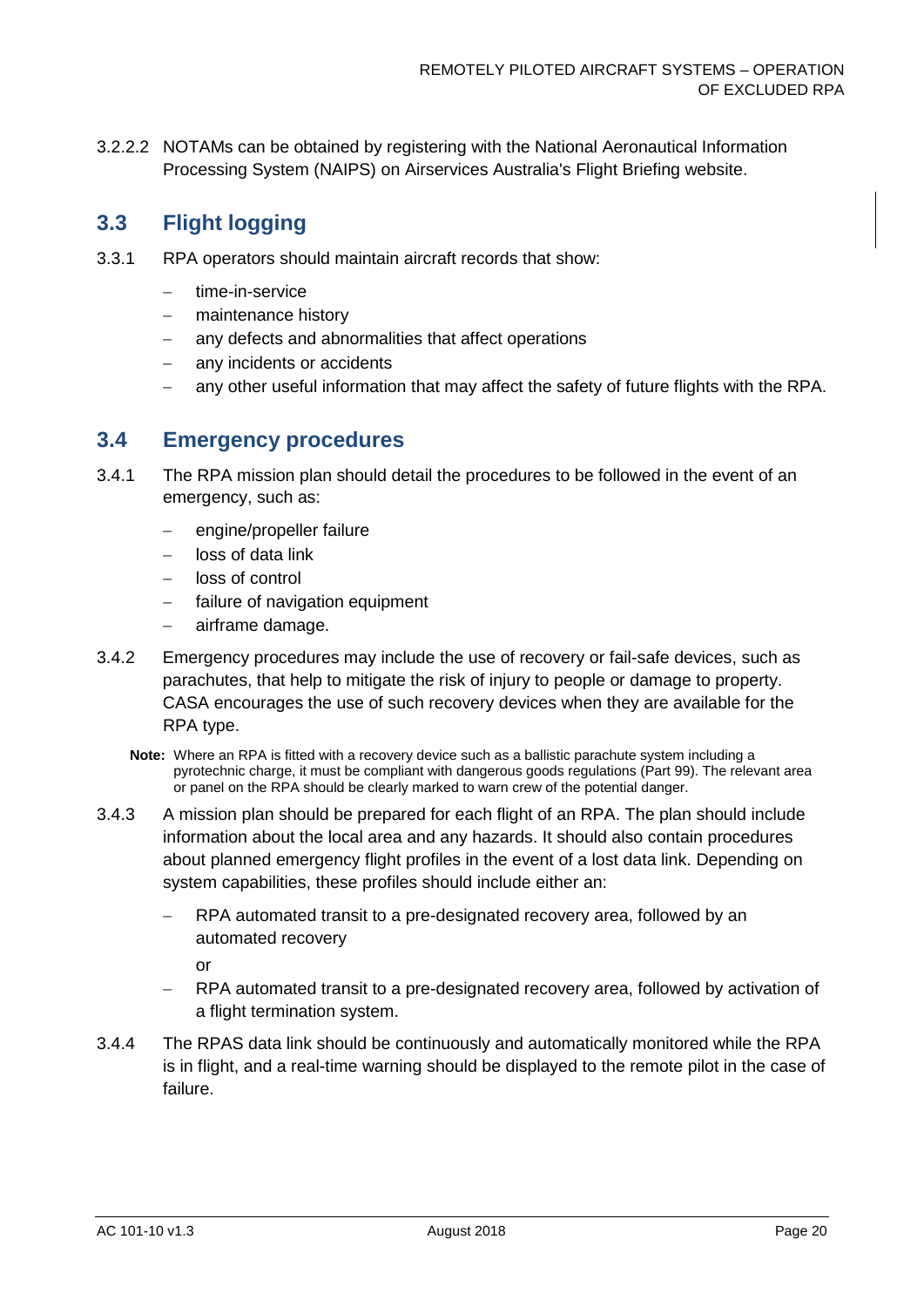3.2.2.2 NOTAMs can be obtained by registering with the National Aeronautical Information Processing System (NAIPS) on Airservices Australia's Flight Briefing website.

## <span id="page-20-0"></span>**3.3 Flight logging**

- 3.3.1 RPA operators should maintain aircraft records that show:
	- − time-in-service
	- − maintenance history
	- any defects and abnormalities that affect operations
	- any incidents or accidents
	- − any other useful information that may affect the safety of future flights with the RPA.

#### <span id="page-20-1"></span>**3.4 Emergency procedures**

- 3.4.1 The RPA mission plan should detail the procedures to be followed in the event of an emergency, such as:
	- engine/propeller failure
	- − loss of data link
	- − loss of control
	- failure of navigation equipment
	- − airframe damage.
- 3.4.2 Emergency procedures may include the use of recovery or fail-safe devices, such as parachutes, that help to mitigate the risk of injury to people or damage to property. CASA encourages the use of such recovery devices when they are available for the RPA type.
	- **Note:** Where an RPA is fitted with a recovery device such as a ballistic parachute system including a pyrotechnic charge, it must be compliant with dangerous goods regulations (Part 99). The relevant area or panel on the RPA should be clearly marked to warn crew of the potential danger.
- 3.4.3 A mission plan should be prepared for each flight of an RPA. The plan should include information about the local area and any hazards. It should also contain procedures about planned emergency flight profiles in the event of a lost data link. Depending on system capabilities, these profiles should include either an:
	- RPA automated transit to a pre-designated recovery area, followed by an automated recovery

or

- RPA automated transit to a pre-designated recovery area, followed by activation of a flight termination system.
- 3.4.4 The RPAS data link should be continuously and automatically monitored while the RPA is in flight, and a real-time warning should be displayed to the remote pilot in the case of failure.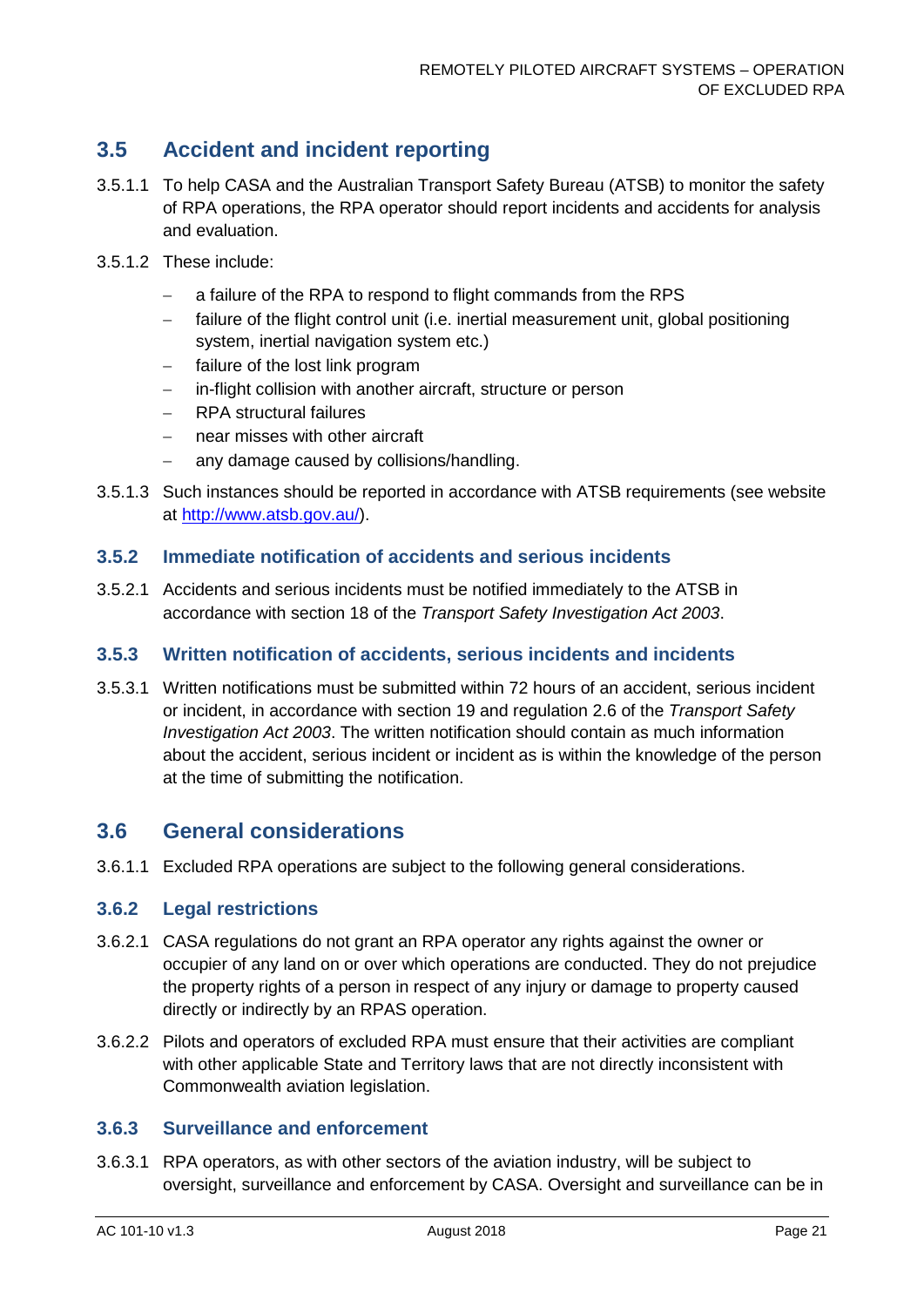# <span id="page-21-0"></span>**3.5 Accident and incident reporting**

- 3.5.1.1 To help CASA and the Australian Transport Safety Bureau (ATSB) to monitor the safety of RPA operations, the RPA operator should report incidents and accidents for analysis and evaluation.
- 3.5.1.2 These include:
	- a failure of the RPA to respond to flight commands from the RPS
	- − failure of the flight control unit (i.e. inertial measurement unit, global positioning system, inertial navigation system etc.)
	- failure of the lost link program
	- − in-flight collision with another aircraft, structure or person
	- − RPA structural failures
	- − near misses with other aircraft
	- − any damage caused by collisions/handling.
- 3.5.1.3 Such instances should be reported in accordance with ATSB requirements (see website at [http://www.atsb.gov.au/\)](http://www.atsb.gov.au/).

#### **3.5.2 Immediate notification of accidents and serious incidents**

3.5.2.1 Accidents and serious incidents must be notified immediately to the ATSB in accordance with section 18 of the *[Transport Safety Investigation Act 2003](https://www.legislation.gov.au/Current/C2016C00617)*.

#### **3.5.3 Written notification of accidents, serious incidents and incidents**

3.5.3.1 Written notifications must be submitted within 72 hours of an accident, serious incident or incident, in accordance with section 19 and regulation 2.6 of the *[Transport Safety](https://www.legislation.gov.au/Current/C2016C00617)  [Investigation Act 2003](https://www.legislation.gov.au/Current/C2016C00617)*. The written notification should contain as much information about the accident, serious incident or incident as is within the knowledge of the person at the time of submitting the notification.

### <span id="page-21-1"></span>**3.6 General considerations**

3.6.1.1 Excluded RPA operations are subject to the following general considerations.

#### **3.6.2 Legal restrictions**

- 3.6.2.1 CASA regulations do not grant an RPA operator any rights against the owner or occupier of any land on or over which operations are conducted. They do not prejudice the property rights of a person in respect of any injury or damage to property caused directly or indirectly by an RPAS operation.
- 3.6.2.2 Pilots and operators of excluded RPA must ensure that their activities are compliant with other applicable State and Territory laws that are not directly inconsistent with Commonwealth aviation legislation.

#### **3.6.3 Surveillance and enforcement**

3.6.3.1 RPA operators, as with other sectors of the aviation industry, will be subject to oversight, surveillance and enforcement by CASA. Oversight and surveillance can be in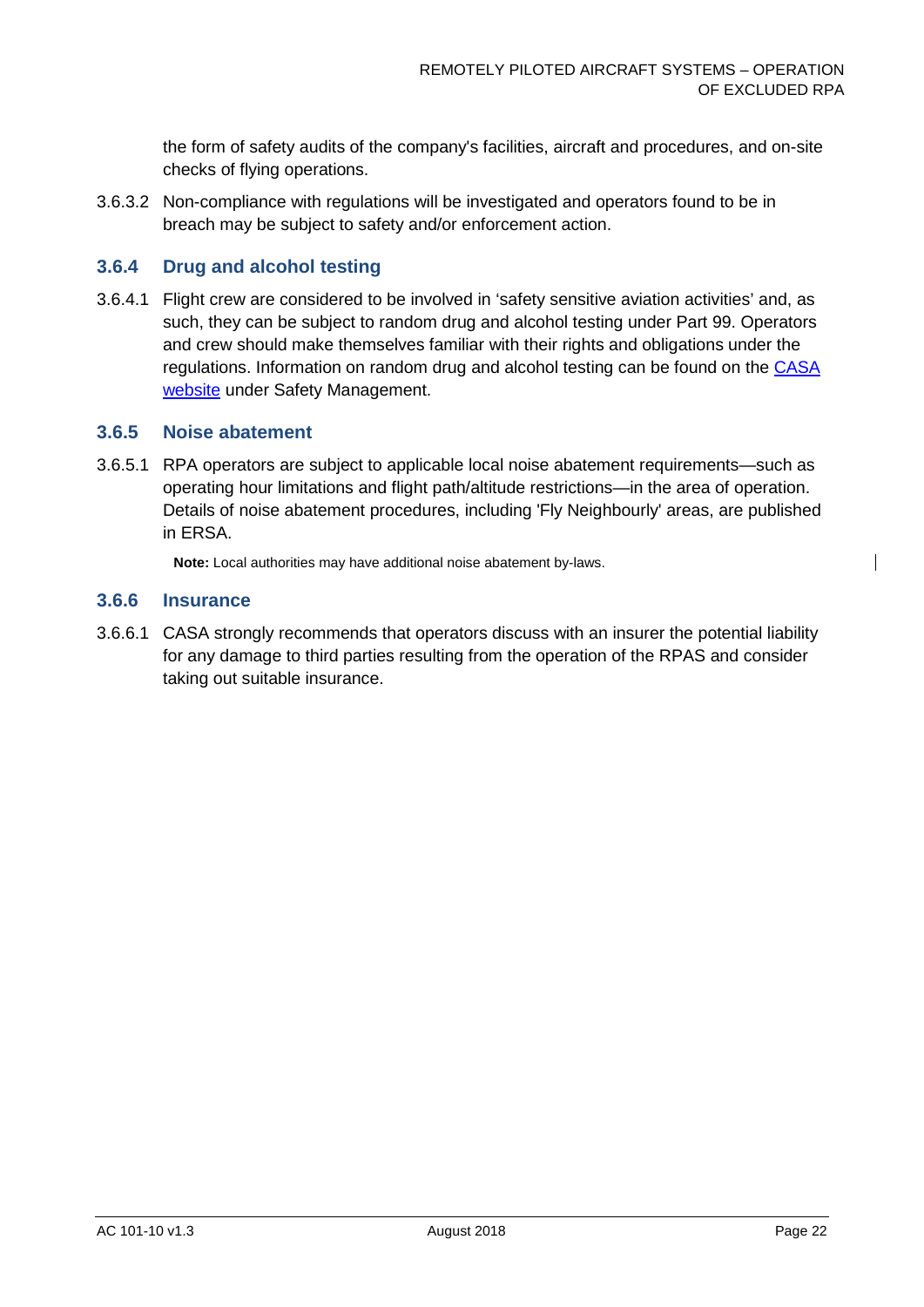the form of safety audits of the company's facilities, aircraft and procedures, and on-site checks of flying operations.

3.6.3.2 Non-compliance with regulations will be investigated and operators found to be in breach may be subject to safety and/or enforcement action.

#### **3.6.4 Drug and alcohol testing**

3.6.4.1 Flight crew are considered to be involved in 'safety sensitive aviation activities' and, as such, they can be subject to random drug and alcohol testing under Part 99. Operators and crew should make themselves familiar with their rights and obligations under the regulations. Information on random drug and alcohol testing can be found on the [CASA](https://www.casa.gov.au/landing-page/safety-management)  [website](https://www.casa.gov.au/landing-page/safety-management) under Safety Management.

#### **3.6.5 Noise abatement**

3.6.5.1 RPA operators are subject to applicable local noise abatement requirements—such as operating hour limitations and flight path/altitude restrictions—in the area of operation. Details of noise abatement procedures, including 'Fly Neighbourly' areas, are published in ERSA.

**Note:** Local authorities may have additional noise abatement by-laws.

#### **3.6.6 Insurance**

3.6.6.1 CASA strongly recommends that operators discuss with an insurer the potential liability for any damage to third parties resulting from the operation of the RPAS and consider taking out suitable insurance.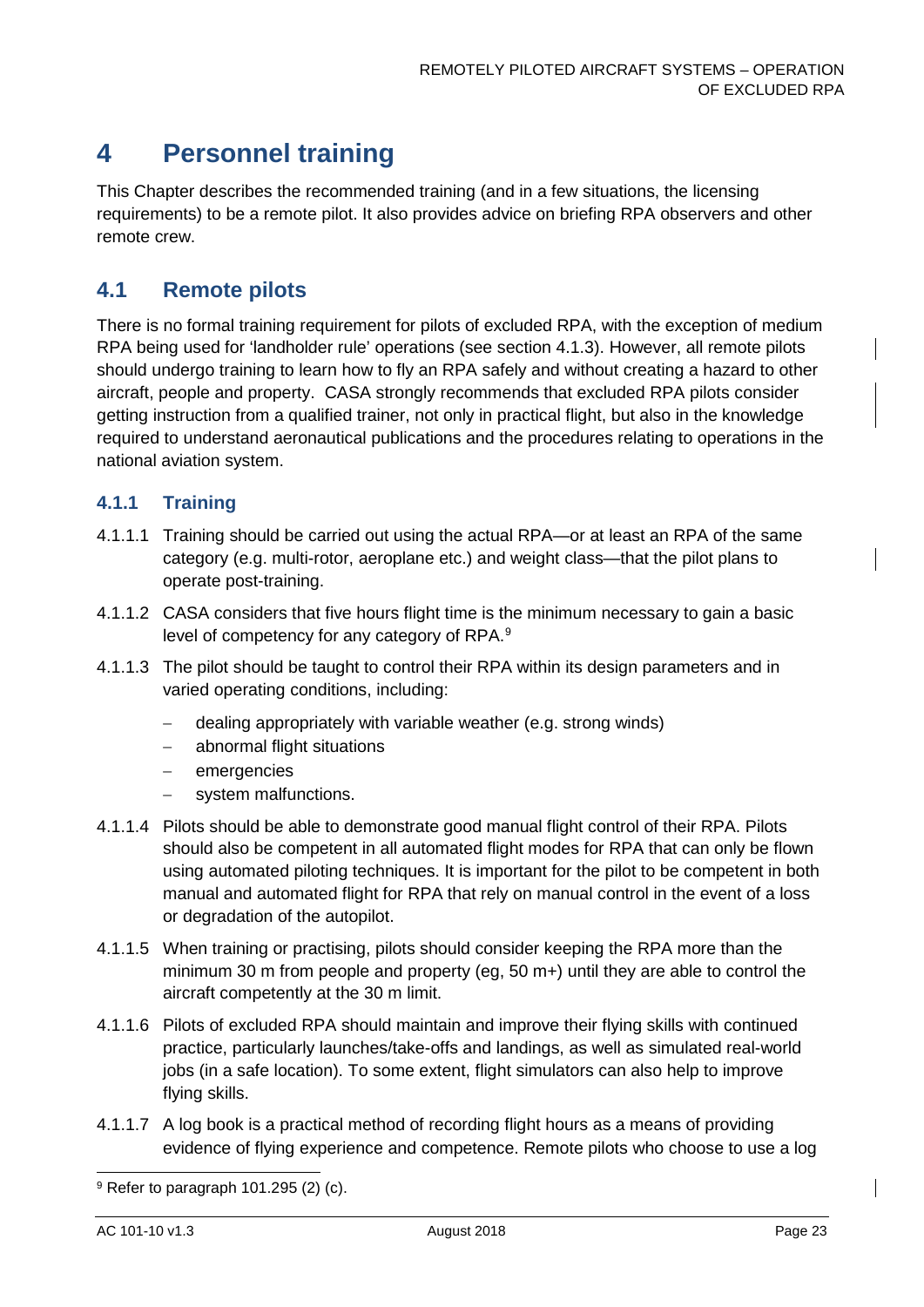# <span id="page-23-0"></span>**4 Personnel training**

This Chapter describes the recommended training (and in a few situations, the licensing requirements) to be a remote pilot. It also provides advice on briefing RPA observers and other remote crew.

## <span id="page-23-1"></span>**4.1 Remote pilots**

There is no formal training requirement for pilots of excluded RPA, with the exception of medium RPA being used for 'landholder rule' operations (see section [4.1.3\)](#page-24-1). However, all remote pilots should undergo training to learn how to fly an RPA safely and without creating a hazard to other aircraft, people and property. CASA strongly recommends that excluded RPA pilots consider getting instruction from a qualified trainer, not only in practical flight, but also in the knowledge required to understand aeronautical publications and the procedures relating to operations in the national aviation system.

#### **4.1.1 Training**

- 4.1.1.1 Training should be carried out using the actual RPA—or at least an RPA of the same category (e.g. multi-rotor, aeroplane etc.) and weight class—that the pilot plans to operate post-training.
- 4.1.1.2 CASA considers that five hours flight time is the minimum necessary to gain a basic level of competency for any category of RPA.<sup>[9](#page-23-2)</sup>
- 4.1.1.3 The pilot should be taught to control their RPA within its design parameters and in varied operating conditions, including:
	- − dealing appropriately with variable weather (e.g. strong winds)
	- − abnormal flight situations
	- − emergencies
	- system malfunctions.
- 4.1.1.4 Pilots should be able to demonstrate good manual flight control of their RPA. Pilots should also be competent in all automated flight modes for RPA that can only be flown using automated piloting techniques. It is important for the pilot to be competent in both manual and automated flight for RPA that rely on manual control in the event of a loss or degradation of the autopilot.
- 4.1.1.5 When training or practising, pilots should consider keeping the RPA more than the minimum 30 m from people and property (eg, 50 m+) until they are able to control the aircraft competently at the 30 m limit.
- 4.1.1.6 Pilots of excluded RPA should maintain and improve their flying skills with continued practice, particularly launches/take-offs and landings, as well as simulated real-world jobs (in a safe location). To some extent, flight simulators can also help to improve flying skills.
- 4.1.1.7 A log book is a practical method of recording flight hours as a means of providing evidence of flying experience and competence. Remote pilots who choose to use a log

<span id="page-23-2"></span> $9$  Refer to paragraph 101.295 (2) (c).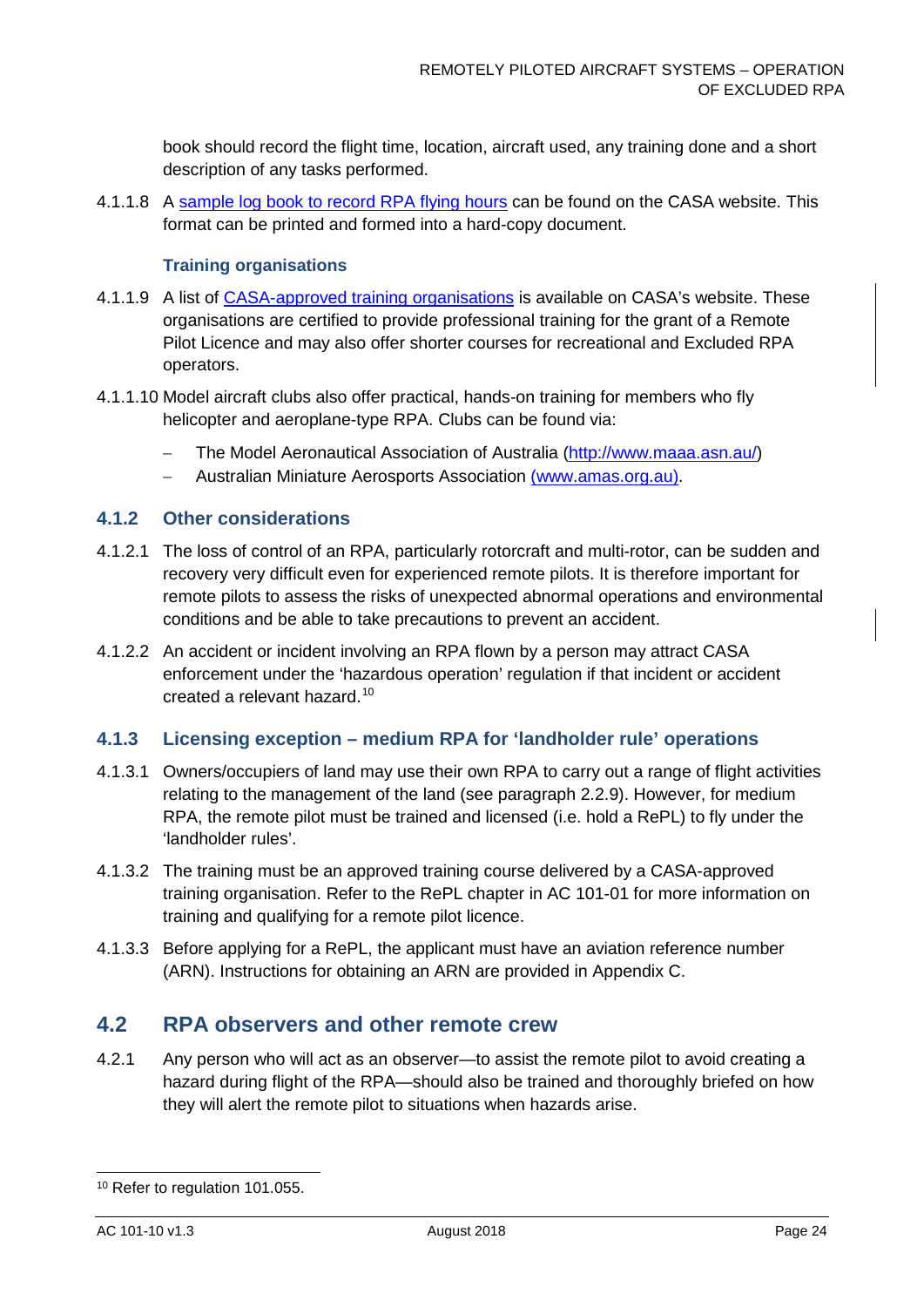book should record the flight time, location, aircraft used, any training done and a short description of any tasks performed.

4.1.1.8 A [sample log book to record RPA flying hours](https://www.casa.gov.au/files/uasflyinghourslogbookdoc) can be found on the CASA website. This format can be printed and formed into a hard-copy document.

#### **Training organisations**

- 4.1.1.9 A list of [CASA-approved training organisations](https://www.casa.gov.au/aircraft/standard-page/uas-certificate-holders) is available on CASA's website. These organisations are certified to provide professional training for the grant of a Remote Pilot Licence and may also offer shorter courses for recreational and Excluded RPA operators.
- 4.1.1.10 Model aircraft clubs also offer practical, hands-on training for members who fly helicopter and aeroplane-type RPA. Clubs can be found via:
	- − The Model Aeronautical Association of Australia [\(http://www.maaa.asn.au/\)](http://www.maaa.asn.au/)
	- − Australian Miniature Aerosports Association (www.amas.org.au).

#### **4.1.2 Other considerations**

- 4.1.2.1 The loss of control of an RPA, particularly rotorcraft and multi-rotor, can be sudden and recovery very difficult even for experienced remote pilots. It is therefore important for remote pilots to assess the risks of unexpected abnormal operations and environmental conditions and be able to take precautions to prevent an accident.
- 4.1.2.2 An accident or incident involving an RPA flown by a person may attract CASA enforcement under the 'hazardous operation' regulation if that incident or accident created a relevant hazard. [10](#page-24-2)

#### <span id="page-24-1"></span>**4.1.3 Licensing exception – medium RPA for 'landholder rule' operations**

- 4.1.3.1 Owners/occupiers of land may use their own RPA to carry out a range of flight activities relating to the management of the land (see paragraph [2.2.9\)](#page-11-0). However, for medium RPA, the remote pilot must be trained and licensed (i.e. hold a RePL) to fly under the 'landholder rules'.
- 4.1.3.2 The training must be an approved training course delivered by a CASA-approved training organisation. Refer to the RePL chapter in AC 101-01 for more information on training and qualifying for a remote pilot licence.
- 4.1.3.3 Before applying for a RePL, the applicant must have an aviation reference number (ARN). Instructions for obtaining an ARN are provided in [Appendix C.](#page-31-0)

### <span id="page-24-0"></span>**4.2 RPA observers and other remote crew**

4.2.1 Any person who will act as an observer—to assist the remote pilot to avoid creating a hazard during flight of the RPA—should also be trained and thoroughly briefed on how they will alert the remote pilot to situations when hazards arise.

<span id="page-24-2"></span><sup>&</sup>lt;sup>10</sup> Refer to regulation 101.055.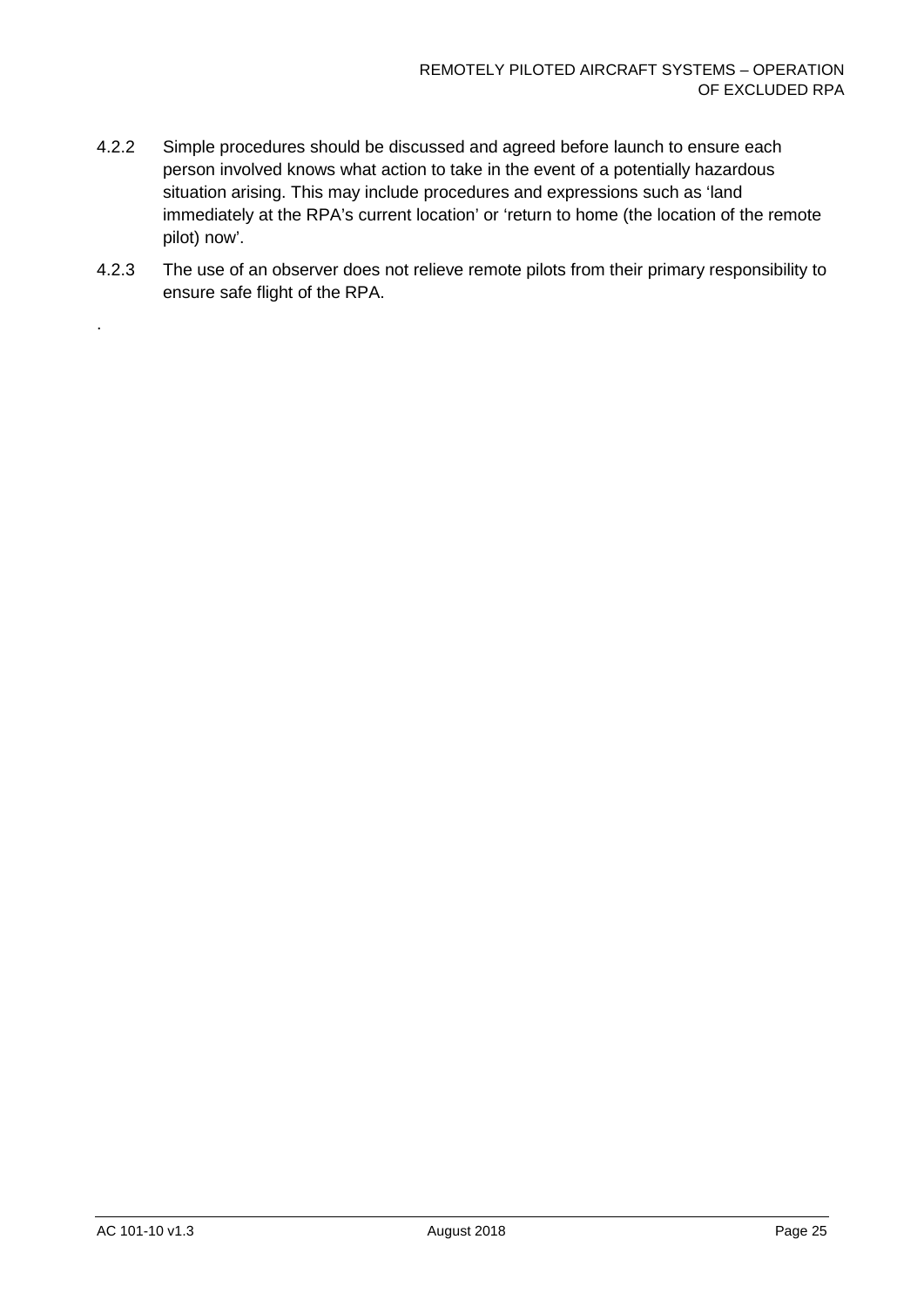- 4.2.2 Simple procedures should be discussed and agreed before launch to ensure each person involved knows what action to take in the event of a potentially hazardous situation arising. This may include procedures and expressions such as 'land immediately at the RPA's current location' or 'return to home (the location of the remote pilot) now'.
- 4.2.3 The use of an observer does not relieve remote pilots from their primary responsibility to ensure safe flight of the RPA.

.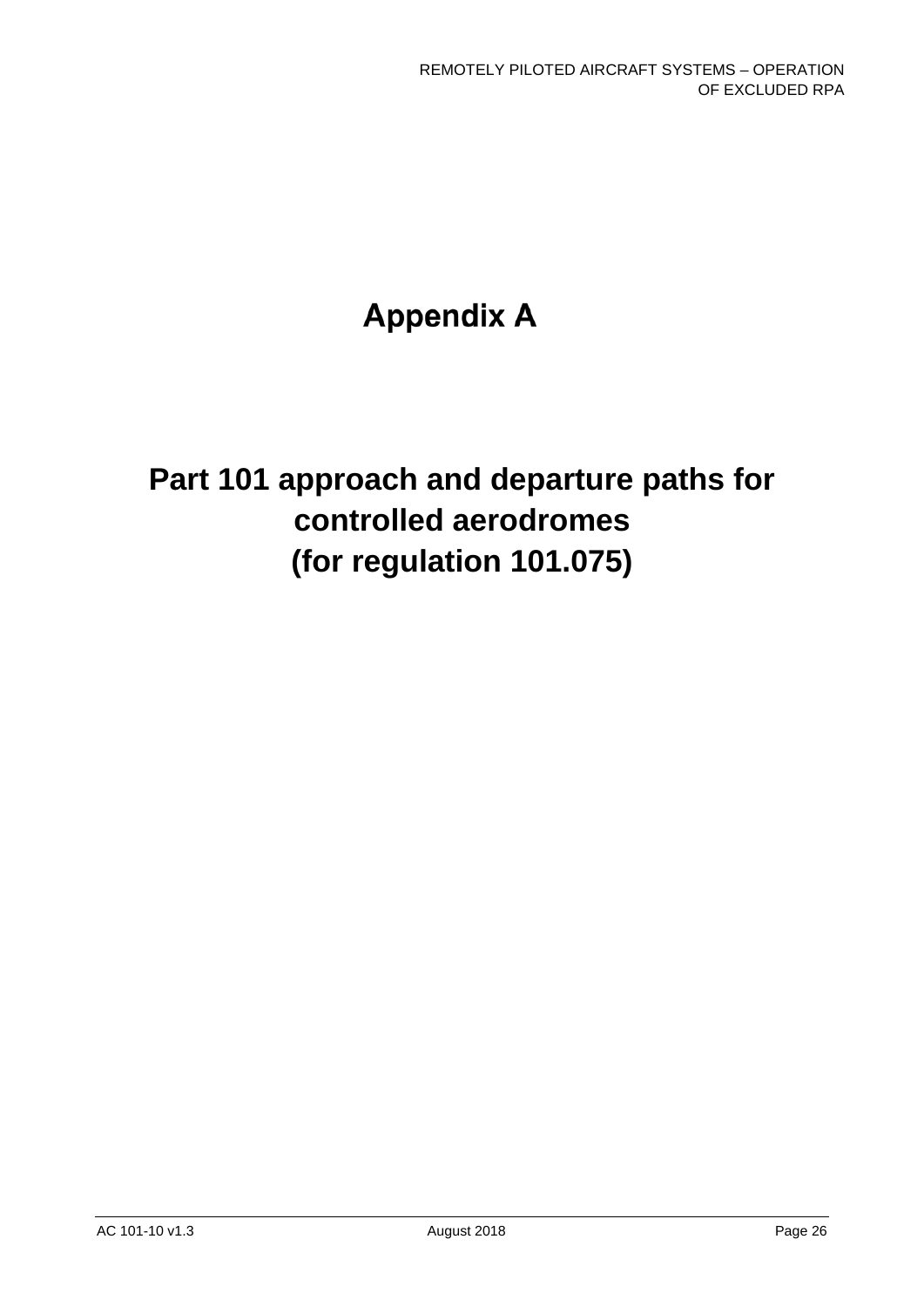# **Appendix A**

# **Part 101 approach and departure paths for controlled aerodromes (for regulation 101.075)**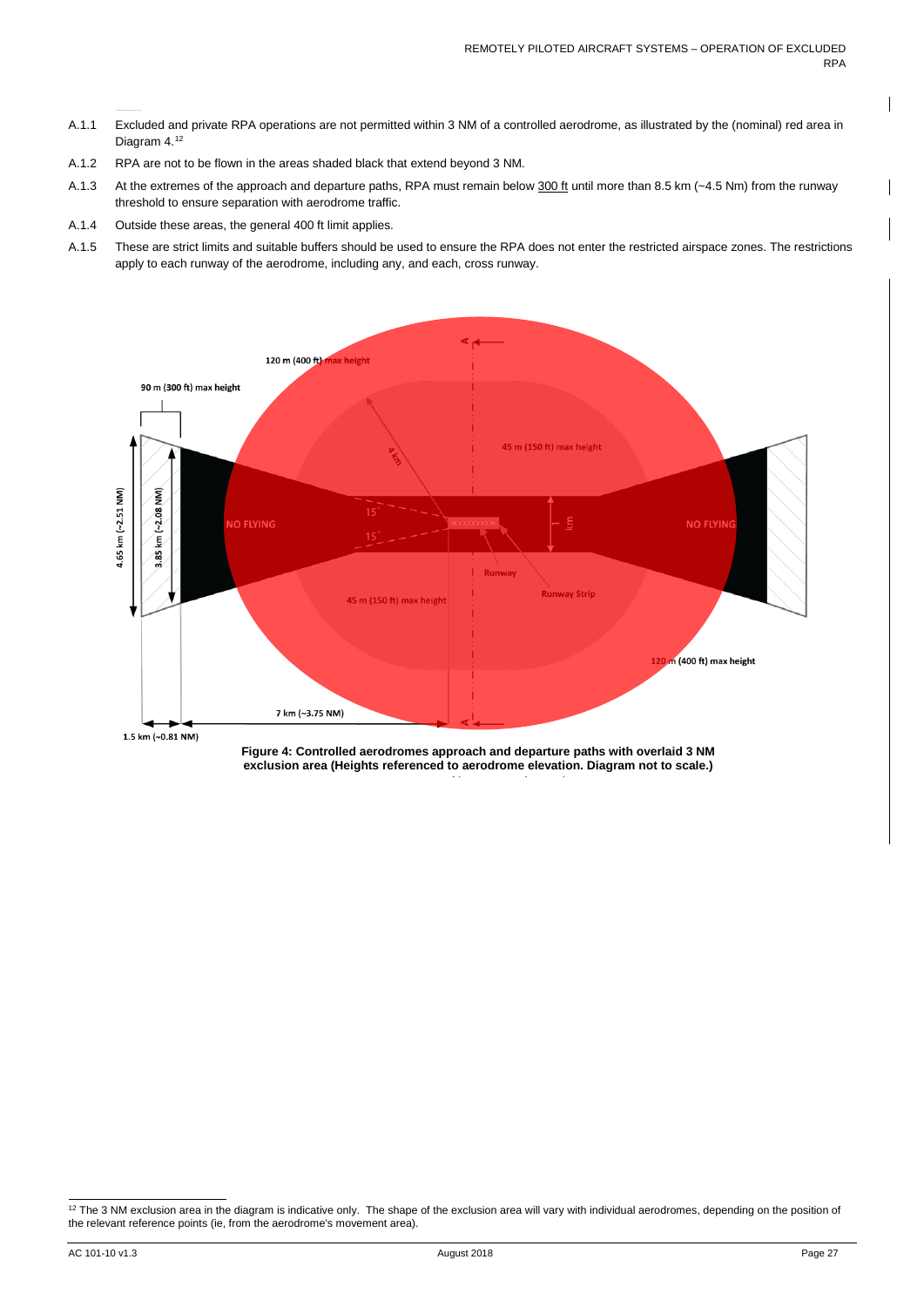- A.1.1 Excluded and private RPA operations are not permitted within 3 NM of a controlled aerodrome, as illustrated by the (nominal) red area in Diagram 4.<sup>[12](#page-27-0)</sup>
- A.1.2 RPA are not to be flown in the areas shaded black that extend beyond 3 NM.
- A.1.3 At the extremes of the approach and departure paths, RPA must remain below 300 ft until more than 8.5 km (~4.5 Nm) from the runway threshold to ensure separation with aerodrome traffic.
- A.1.4 Outside these areas, the general 400 ft limit applies.
- A.1.5 These are strict limits and suitable buffers should be used to ensure the RPA does not enter the restricted airspace zones. The restrictions apply to each runway of the aerodrome, including any, and each, cross runway.



1.5 km (~0.81 NM)

**Figure 4: Controlled aerodromes approach and departure paths with overlaid 3 NM exclusion area (Heights referenced to aerodrome elevation. Diagram not to scale.)**

<span id="page-27-0"></span><sup>&</sup>lt;sup>12</sup> The 3 NM exclusion area in the diagram is indicative only. The shape of the exclusion area will vary with individual aerodromes, depending on the position of the relevant reference points (ie, from the aerodrome's movement area).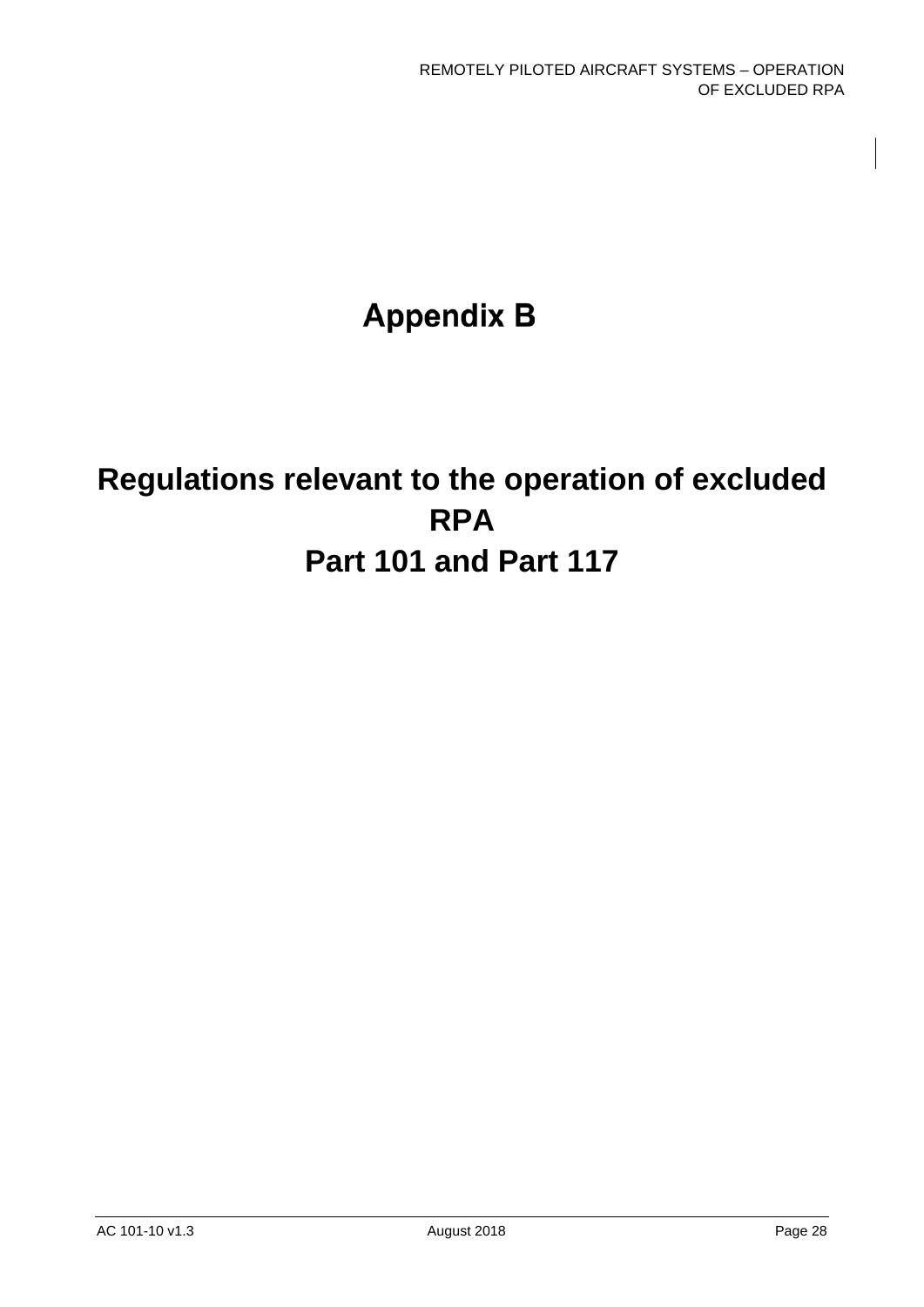# **Appendix B**

# <span id="page-28-0"></span>**Regulations relevant to the operation of excluded RPA Part 101 and Part 117**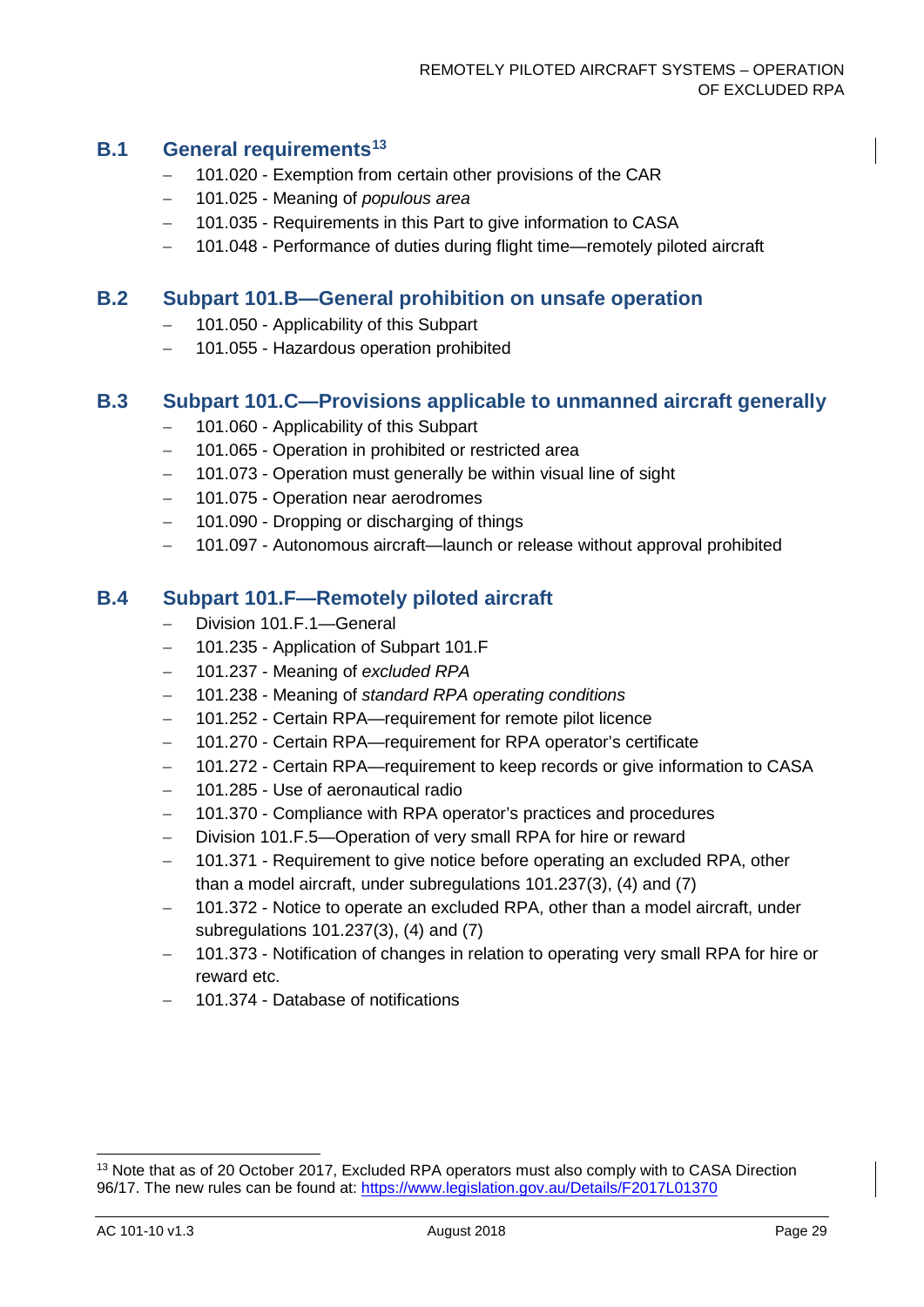### **B.1 General requirements[13](#page-29-0)**

- − 101.020 Exemption from certain other provisions of the CAR
- − 101.025 Meaning of *populous area*
- − 101.035 Requirements in this Part to give information to CASA
- − 101.048 Performance of duties during flight time—remotely piloted aircraft

#### **B.2 Subpart 101.B—General prohibition on unsafe operation**

- − 101.050 Applicability of this Subpart
- − 101.055 Hazardous operation prohibited

### **B.3 Subpart 101.C—Provisions applicable to unmanned aircraft generally**

- − 101.060 Applicability of this Subpart
- − 101.065 Operation in prohibited or restricted area
- − 101.073 Operation must generally be within visual line of sight
- − 101.075 Operation near aerodromes
- − 101.090 Dropping or discharging of things
- − 101.097 Autonomous aircraft—launch or release without approval prohibited

#### **B.4 Subpart 101.F—Remotely piloted aircraft**

- − Division 101.F.1—General
- − 101.235 Application of Subpart 101.F
- − 101.237 Meaning of *excluded RPA*
- − 101.238 Meaning of *standard RPA operating conditions*
- − 101.252 Certain RPA—requirement for remote pilot licence
- − 101.270 Certain RPA—requirement for RPA operator's certificate
- − 101.272 Certain RPA—requirement to keep records or give information to CASA
- − 101.285 Use of aeronautical radio
- − 101.370 Compliance with RPA operator's practices and procedures
- Division 101.F.5—Operation of very small RPA for hire or reward
- − 101.371 Requirement to give notice before operating an excluded RPA, other than a model aircraft, under subregulations 101.237(3), (4) and (7)
- 101.372 Notice to operate an excluded RPA, other than a model aircraft, under subregulations 101.237(3), (4) and (7)
- − 101.373 Notification of changes in relation to operating very small RPA for hire or reward etc.
- − 101.374 Database of notifications

<span id="page-29-0"></span><sup>&</sup>lt;sup>13</sup> Note that as of 20 October 2017, Excluded RPA operators must also comply with to CASA Direction 96/17. The new rules can be found at: <https://www.legislation.gov.au/Details/F2017L01370>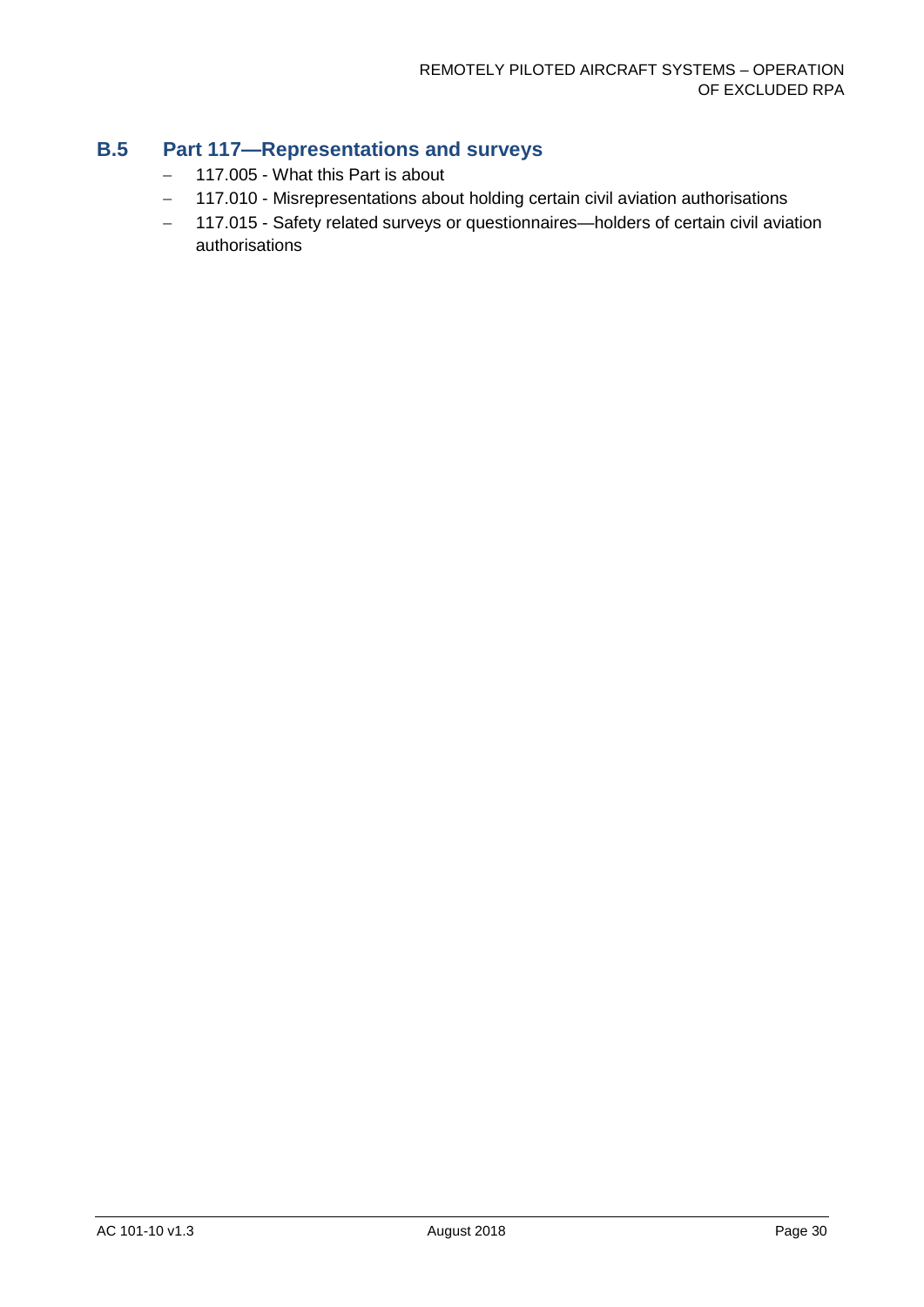## **B.5 Part 117—Representations and surveys**

- − 117.005 What this Part is about
- − 117.010 Misrepresentations about holding certain civil aviation authorisations
- − 117.015 Safety related surveys or questionnaires—holders of certain civil aviation authorisations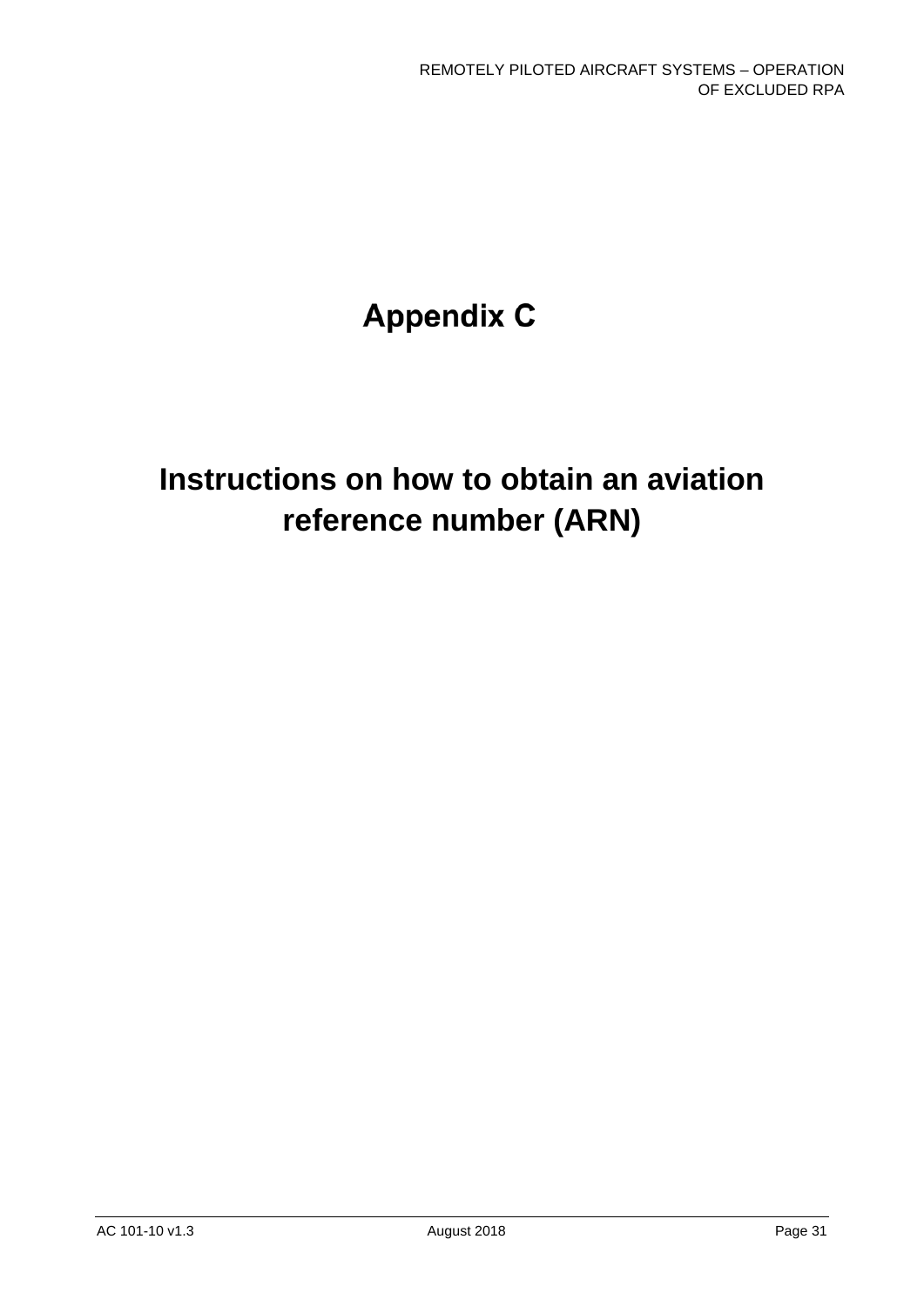# **Appendix C**

# <span id="page-31-0"></span>**Instructions on how to obtain an aviation reference number (ARN)**